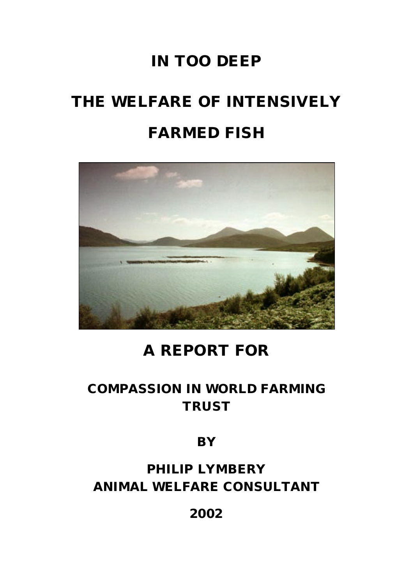# **IN TOO DEEP**

# **THE WELFARE OF INTENSIVELY FARMED FISH**



# **A REPORT FOR**

# **COMPASSION IN WORLD FARMING TRUST**

**BY**

**PHILIP LYMBERY ANIMAL WELFARE CONSULTANT**

**2002**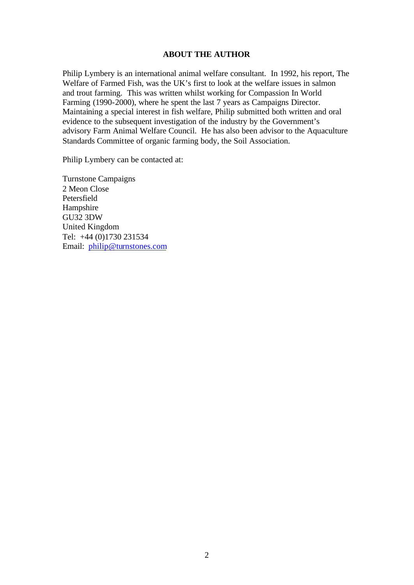#### **ABOUT THE AUTHOR**

Philip Lymbery is an international animal welfare consultant. In 1992, his report, The Welfare of Farmed Fish, was the UK's first to look at the welfare issues in salmon and trout farming. This was written whilst working for Compassion In World Farming (1990-2000), where he spent the last 7 years as Campaigns Director. Maintaining a special interest in fish welfare, Philip submitted both written and oral evidence to the subsequent investigation of the industry by the Government's advisory Farm Animal Welfare Council. He has also been advisor to the Aquaculture Standards Committee of organic farming body, the Soil Association.

Philip Lymbery can be contacted at:

Turnstone Campaigns 2 Meon Close Petersfield Hampshire GU32 3DW United Kingdom Tel: +44 (0)1730 231534 Email: philip@turnstones.com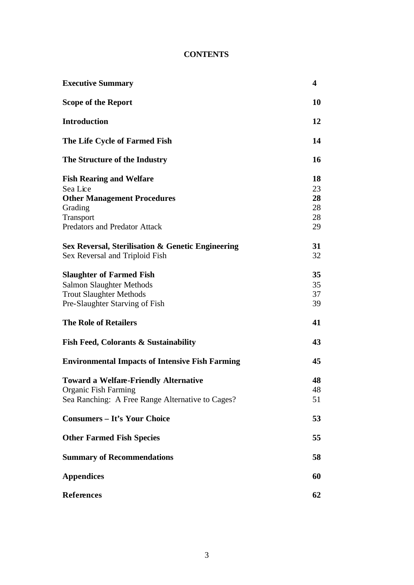# **CONTENTS**

| <b>Executive Summary</b>                               | 4  |
|--------------------------------------------------------|----|
| <b>Scope of the Report</b>                             | 10 |
| <b>Introduction</b>                                    | 12 |
| The Life Cycle of Farmed Fish                          | 14 |
| The Structure of the Industry                          | 16 |
| <b>Fish Rearing and Welfare</b>                        | 18 |
| Sea Lice                                               | 23 |
| <b>Other Management Procedures</b>                     | 28 |
| Grading                                                | 28 |
| Transport                                              | 28 |
| <b>Predators and Predator Attack</b>                   | 29 |
| Sex Reversal, Sterilisation & Genetic Engineering      | 31 |
| Sex Reversal and Triploid Fish                         | 32 |
| <b>Slaughter of Farmed Fish</b>                        | 35 |
| Salmon Slaughter Methods                               | 35 |
| <b>Trout Slaughter Methods</b>                         | 37 |
| Pre-Slaughter Starving of Fish                         | 39 |
| <b>The Role of Retailers</b>                           | 41 |
| <b>Fish Feed, Colorants &amp; Sustainability</b>       | 43 |
| <b>Environmental Impacts of Intensive Fish Farming</b> | 45 |
| <b>Toward a Welfare-Friendly Alternative</b>           | 48 |
| <b>Organic Fish Farming</b>                            | 48 |
| Sea Ranching: A Free Range Alternative to Cages?       | 51 |
| <b>Consumers - It's Your Choice</b>                    | 53 |
| <b>Other Farmed Fish Species</b>                       | 55 |
| <b>Summary of Recommendations</b>                      | 58 |
| <b>Appendices</b>                                      | 60 |
| <b>References</b>                                      | 62 |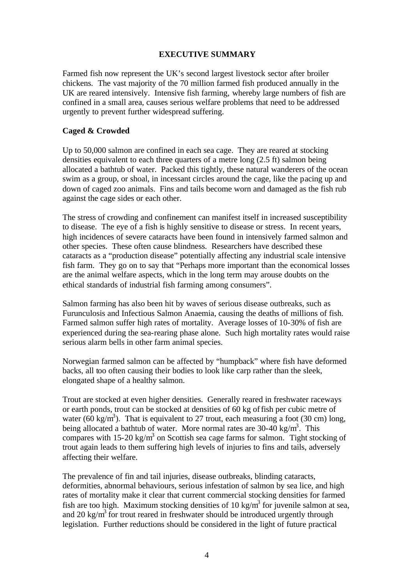#### **EXECUTIVE SUMMARY**

Farmed fish now represent the UK's second largest livestock sector after broiler chickens. The vast majority of the 70 million farmed fish produced annually in the UK are reared intensively. Intensive fish farming, whereby large numbers of fish are confined in a small area, causes serious welfare problems that need to be addressed urgently to prevent further widespread suffering.

# **Caged & Crowded**

Up to 50,000 salmon are confined in each sea cage. They are reared at stocking densities equivalent to each three quarters of a metre long (2.5 ft) salmon being allocated a bathtub of water. Packed this tightly, these natural wanderers of the ocean swim as a group, or shoal, in incessant circles around the cage, like the pacing up and down of caged zoo animals. Fins and tails become worn and damaged as the fish rub against the cage sides or each other.

The stress of crowding and confinement can manifest itself in increased susceptibility to disease. The eye of a fish is highly sensitive to disease or stress. In recent years, high incidences of severe cataracts have been found in intensively farmed salmon and other species. These often cause blindness. Researchers have described these cataracts as a "production disease" potentially affecting any industrial scale intensive fish farm. They go on to say that "Perhaps more important than the economical losses are the animal welfare aspects, which in the long term may arouse doubts on the ethical standards of industrial fish farming among consumers".

Salmon farming has also been hit by waves of serious disease outbreaks, such as Furunculosis and Infectious Salmon Anaemia, causing the deaths of millions of fish. Farmed salmon suffer high rates of mortality. Average losses of 10-30% of fish are experienced during the sea-rearing phase alone. Such high mortality rates would raise serious alarm bells in other farm animal species.

Norwegian farmed salmon can be affected by "humpback" where fish have deformed backs, all too often causing their bodies to look like carp rather than the sleek, elongated shape of a healthy salmon.

Trout are stocked at even higher densities. Generally reared in freshwater raceways or earth ponds, trout can be stocked at densities of 60 kg of fish per cubic metre of water (60 kg/m<sup>3</sup>). That is equivalent to 27 trout, each measuring a foot (30 cm) long, being allocated a bathtub of water. More normal rates are  $30\n-40$  kg/m<sup>3</sup>. This compares with  $15{\text -}20$  kg/m<sup>3</sup> on Scottish sea cage farms for salmon. Tight stocking of trout again leads to them suffering high levels of injuries to fins and tails, adversely affecting their welfare.

The prevalence of fin and tail injuries, disease outbreaks, blinding cataracts, deformities, abnormal behaviours, serious infestation of salmon by sea lice, and high rates of mortality make it clear that current commercial stocking densities for farmed fish are too high. Maximum stocking densities of 10 kg/m<sup>3</sup> for juvenile salmon at sea, and 20 kg/m<sup>3</sup> for trout reared in freshwater should be introduced urgently through legislation. Further reductions should be considered in the light of future practical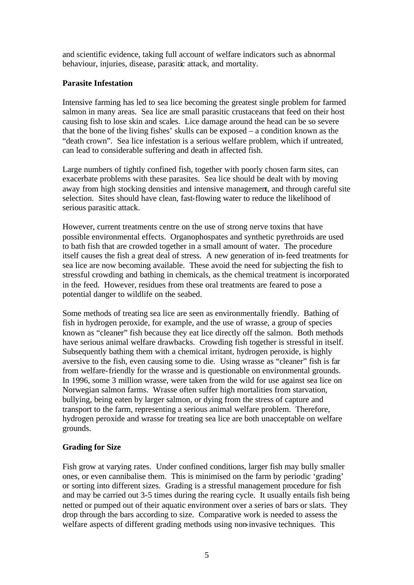and scientific evidence, taking full account of welfare indicators such as abnormal behaviour, injuries, disease, parasitic attack, and mortality.

# **Parasite Infestation**

Intensive farming has led to sea lice becoming the greatest single problem for farmed salmon in many areas. Sea lice are small parasitic crustaceans that feed on their host causing fish to lose skin and scales. Lice damage around the head can be so severe that the bone of the living fishes' skulls can be exposed – a condition known as the "death crown". Sea lice infestation is a serious welfare problem, which if untreated, can lead to considerable suffering and death in affected fish.

Large numbers of tightly confined fish, together with poorly chosen farm sites, can exacerbate problems with these parasites. Sea lice should be dealt with by moving away from high stocking densities and intensive management, and through careful site selection. Sites should have clean, fast-flowing water to reduce the likelihood of serious parasitic attack.

However, current treatments centre on the use of strong nerve toxins that have possible environmental effects. Organophospates and synthetic pyrethroids are used to bath fish that are crowded together in a small amount of water. The procedure itself causes the fish a great deal of stress. A new generation of in-feed treatments for sea lice are now becoming available. These avoid the need for subjecting the fish to stressful crowding and bathing in chemicals, as the chemical treatment is incorporated in the feed. However, residues from these oral treatments are feared to pose a potential danger to wildlife on the seabed.

Some methods of treating sea lice are seen as environmentally friendly. Bathing of fish in hydrogen peroxide, for example, and the use of wrasse, a group of species known as "cleaner" fish because they eat lice directly off the salmon. Both methods have serious animal welfare drawbacks. Crowding fish together is stressful in itself. Subsequently bathing them with a chemical irritant, hydrogen peroxide, is highly aversive to the fish, even causing some to die. Using wrasse as "cleaner" fish is far from welfare-friendly for the wrasse and is questionable on environmental grounds. In 1996, some 3 million wrasse, were taken from the wild for use against sea lice on Norwegian salmon farms. Wrasse often suffer high mortalities from starvation, bullying, being eaten by larger salmon, or dying from the stress of capture and transport to the farm, representing a serious animal welfare problem. Therefore, hydrogen peroxide and wrasse for treating sea lice are both unacceptable on welfare grounds.

# **Grading for Size**

Fish grow at varying rates. Under confined conditions, larger fish may bully smaller ones, or even cannibalise them. This is minimised on the farm by periodic 'grading' or sorting into different sizes. Grading is a stressful management procedure for fish and may be carried out 3-5 times during the rearing cycle. It usually entails fish being netted or pumped out of their aquatic environment over a series of bars or slats. They drop through the bars according to size. Comparative work is needed to assess the welfare aspects of different grading methods using non-invasive techniques. This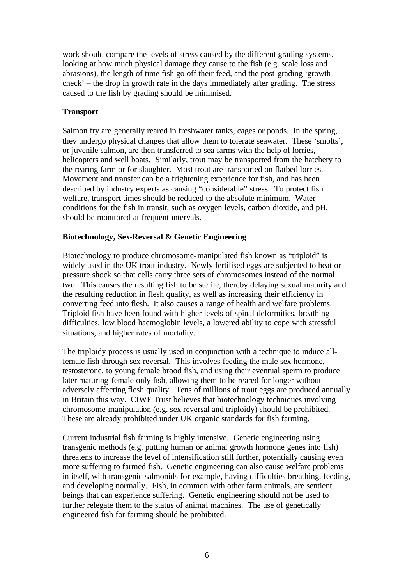work should compare the levels of stress caused by the different grading systems, looking at how much physical damage they cause to the fish (e.g. scale loss and abrasions), the length of time fish go off their feed, and the post-grading 'growth check' – the drop in growth rate in the days immediately after grading. The stress caused to the fish by grading should be minimised.

# **Transport**

Salmon fry are generally reared in freshwater tanks, cages or ponds. In the spring, they undergo physical changes that allow them to tolerate seawater. These 'smolts', or juvenile salmon, are then transferred to sea farms with the help of lorries, helicopters and well boats. Similarly, trout may be transported from the hatchery to the rearing farm or for slaughter. Most trout are transported on flatbed lorries. Movement and transfer can be a frightening experience for fish, and has been described by industry experts as causing "considerable" stress. To protect fish welfare, transport times should be reduced to the absolute minimum. Water conditions for the fish in transit, such as oxygen levels, carbon dioxide, and pH, should be monitored at frequent intervals.

# **Biotechnology, Sex-Reversal & Genetic Engineering**

Biotechnology to produce chromosome-manipulated fish known as "triploid" is widely used in the UK trout industry. Newly fertilised eggs are subjected to heat or pressure shock so that cells carry three sets of chromosomes instead of the normal two. This causes the resulting fish to be sterile, thereby delaying sexual maturity and the resulting reduction in flesh quality, as well as increasing their efficiency in converting feed into flesh. It also causes a range of health and welfare problems. Triploid fish have been found with higher levels of spinal deformities, breathing difficulties, low blood haemoglobin levels, a lowered ability to cope with stressful situations, and higher rates of mortality.

The triploidy process is usually used in conjunction with a technique to induce allfemale fish through sex reversal. This involves feeding the male sex hormone, testosterone, to young female brood fish, and using their eventual sperm to produce later maturing female only fish, allowing them to be reared for longer without adversely affecting flesh quality. Tens of millions of trout eggs are produced annually in Britain this way. CIWF Trust believes that biotechnology techniques involving chromosome manipulation (e.g. sex reversal and triploidy) should be prohibited. These are already prohibited under UK organic standards for fish farming.

Current industrial fish farming is highly intensive. Genetic engineering using transgenic methods (e.g. putting human or animal growth hormone genes into fish) threatens to increase the level of intensification still further, potentially causing even more suffering to farmed fish. Genetic engineering can also cause welfare problems in itself, with transgenic salmonids for example, having difficulties breathing, feeding, and developing normally. Fish, in common with other farm animals, are sentient beings that can experience suffering. Genetic engineering should not be used to further relegate them to the status of animal machines. The use of genetically engineered fish for farming should be prohibited.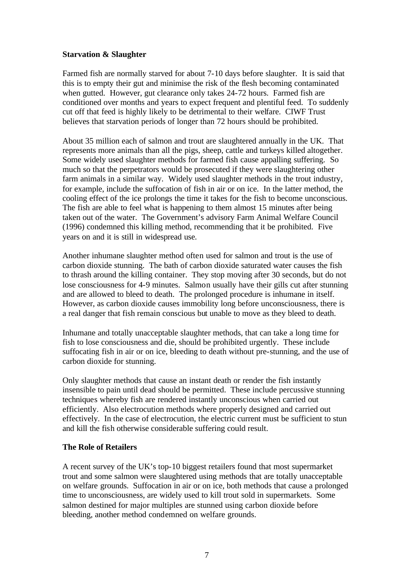#### **Starvation & Slaughter**

Farmed fish are normally starved for about 7-10 days before slaughter. It is said that this is to empty their gut and minimise the risk of the flesh becoming contaminated when gutted. However, gut clearance only takes 24-72 hours. Farmed fish are conditioned over months and years to expect frequent and plentiful feed. To suddenly cut off that feed is highly likely to be detrimental to their welfare. CIWF Trust believes that starvation periods of longer than 72 hours should be prohibited.

About 35 million each of salmon and trout are slaughtered annually in the UK. That represents more animals than all the pigs, sheep, cattle and turkeys killed altogether. Some widely used slaughter methods for farmed fish cause appalling suffering. So much so that the perpetrators would be prosecuted if they were slaughtering other farm animals in a similar way. Widely used slaughter methods in the trout industry, for example, include the suffocation of fish in air or on ice. In the latter method, the cooling effect of the ice prolongs the time it takes for the fish to become unconscious. The fish are able to feel what is happening to them almost 15 minutes after being taken out of the water. The Government's advisory Farm Animal Welfare Council (1996) condemned this killing method, recommending that it be prohibited. Five years on and it is still in widespread use.

Another inhumane slaughter method often used for salmon and trout is the use of carbon dioxide stunning. The bath of carbon dioxide saturated water causes the fish to thrash around the killing container. They stop moving after 30 seconds, but do not lose consciousness for 4-9 minutes. Salmon usually have their gills cut after stunning and are allowed to bleed to death. The prolonged procedure is inhumane in itself. However, as carbon dioxide causes immobility long before unconsciousness, there is a real danger that fish remain conscious but unable to move as they bleed to death.

Inhumane and totally unacceptable slaughter methods, that can take a long time for fish to lose consciousness and die, should be prohibited urgently. These include suffocating fish in air or on ice, bleeding to death without pre-stunning, and the use of carbon dioxide for stunning.

Only slaughter methods that cause an instant death or render the fish instantly insensible to pain until dead should be permitted. These include percussive stunning techniques whereby fish are rendered instantly unconscious when carried out efficiently. Also electrocution methods where properly designed and carried out effectively. In the case of electrocution, the electric current must be sufficient to stun and kill the fish otherwise considerable suffering could result.

#### **The Role of Retailers**

A recent survey of the UK's top-10 biggest retailers found that most supermarket trout and some salmon were slaughtered using methods that are totally unacceptable on welfare grounds. Suffocation in air or on ice, both methods that cause a prolonged time to unconsciousness, are widely used to kill trout sold in supermarkets. Some salmon destined for major multiples are stunned using carbon dioxide before bleeding, another method condemned on welfare grounds.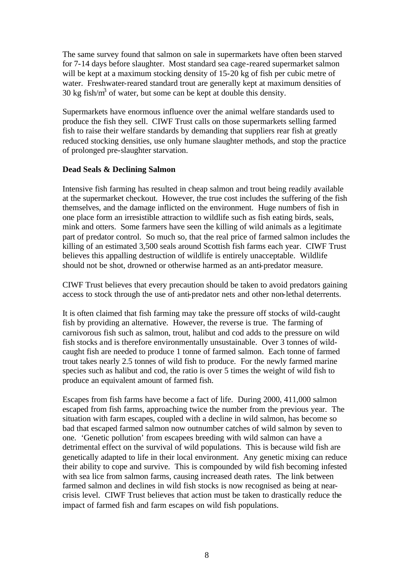The same survey found that salmon on sale in supermarkets have often been starved for 7-14 days before slaughter. Most standard sea cage-reared supermarket salmon will be kept at a maximum stocking density of 15-20 kg of fish per cubic metre of water. Freshwater-reared standard trout are generally kept at maximum densities of 30 kg fish/ $m<sup>3</sup>$  of water, but some can be kept at double this density.

Supermarkets have enormous influence over the animal welfare standards used to produce the fish they sell.CIWF Trust calls on those supermarkets selling farmed fish to raise their welfare standards by demanding that suppliers rear fish at greatly reduced stocking densities, use only humane slaughter methods, and stop the practice of prolonged pre-slaughter starvation.

#### **Dead Seals & Declining Salmon**

Intensive fish farming has resulted in cheap salmon and trout being readily available at the supermarket checkout. However, the true cost includes the suffering of the fish themselves, and the damage inflicted on the environment. Huge numbers of fish in one place form an irresistible attraction to wildlife such as fish eating birds, seals, mink and otters. Some farmers have seen the killing of wild animals as a legitimate part of predator control. So much so, that the real price of farmed salmon includes the killing of an estimated 3,500 seals around Scottish fish farms each year. CIWF Trust believes this appalling destruction of wildlife is entirely unacceptable. Wildlife should not be shot, drowned or otherwise harmed as an anti-predator measure.

CIWF Trust believes that every precaution should be taken to avoid predators gaining access to stock through the use of anti-predator nets and other non-lethal deterrents.

It is often claimed that fish farming may take the pressure off stocks of wild-caught fish by providing an alternative. However, the reverse is true. The farming of carnivorous fish such as salmon, trout, halibut and cod adds to the pressure on wild fish stocks and is therefore environmentally unsustainable. Over 3 tonnes of wildcaught fish are needed to produce 1 tonne of farmed salmon. Each tonne of farmed trout takes nearly 2.5 tonnes of wild fish to produce. For the newly farmed marine species such as halibut and cod, the ratio is over 5 times the weight of wild fish to produce an equivalent amount of farmed fish.

Escapes from fish farms have become a fact of life. During 2000, 411,000 salmon escaped from fish farms, approaching twice the number from the previous year. The situation with farm escapes, coupled with a decline in wild salmon, has become so bad that escaped farmed salmon now outnumber catches of wild salmon by seven to one. 'Genetic pollution' from escapees breeding with wild salmon can have a detrimental effect on the survival of wild populations. This is because wild fish are genetically adapted to life in their local environment. Any genetic mixing can reduce their ability to cope and survive. This is compounded by wild fish becoming infested with sea lice from salmon farms, causing increased death rates. The link between farmed salmon and declines in wild fish stocks is now recognised as being at nearcrisis level. CIWF Trust believes that action must be taken to drastically reduce the impact of farmed fish and farm escapes on wild fish populations.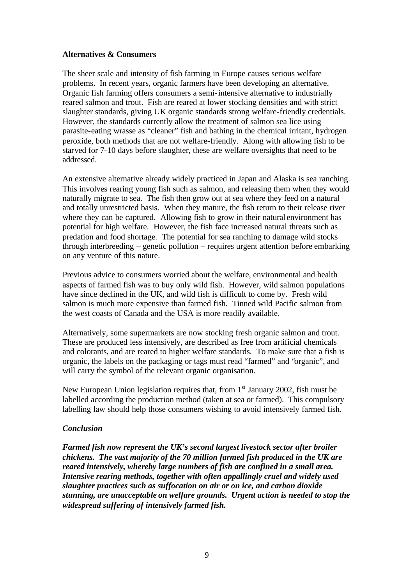#### **Alternatives & Consumers**

The sheer scale and intensity of fish farming in Europe causes serious welfare problems. In recent years, organic farmers have been developing an alternative. Organic fish farming offers consumers a semi-intensive alternative to industrially reared salmon and trout. Fish are reared at lower stocking densities and with strict slaughter standards, giving UK organic standards strong welfare-friendly credentials. However, the standards currently allow the treatment of salmon sea lice using parasite-eating wrasse as "cleaner" fish and bathing in the chemical irritant, hydrogen peroxide, both methods that are not welfare-friendly. Along with allowing fish to be starved for 7-10 days before slaughter, these are welfare oversights that need to be addressed.

An extensive alternative already widely practiced in Japan and Alaska is sea ranching. This involves rearing young fish such as salmon, and releasing them when they would naturally migrate to sea. The fish then grow out at sea where they feed on a natural and totally unrestricted basis. When they mature, the fish return to their release river where they can be captured. Allowing fish to grow in their natural environment has potential for high welfare. However, the fish face increased natural threats such as predation and food shortage. The potential for sea ranching to damage wild stocks through interbreeding – genetic pollution – requires urgent attention before embarking on any venture of this nature.

Previous advice to consumers worried about the welfare, environmental and health aspects of farmed fish was to buy only wild fish. However, wild salmon populations have since declined in the UK, and wild fish is difficult to come by. Fresh wild salmon is much more expensive than farmed fish. Tinned wild Pacific salmon from the west coasts of Canada and the USA is more readily available.

Alternatively, some supermarkets are now stocking fresh organic salmon and trout. These are produced less intensively, are described as free from artificial chemicals and colorants, and are reared to higher welfare standards. To make sure that a fish is organic, the labels on the packaging or tags must read "farmed" and "organic", and will carry the symbol of the relevant organic organisation.

New European Union legislation requires that, from  $1<sup>st</sup>$  January 2002, fish must be labelled according the production method (taken at sea or farmed). This compulsory labelling law should help those consumers wishing to avoid intensively farmed fish.

#### *Conclusion*

*Farmed fish now represent the UK's second largest livestock sector after broiler chickens. The vast majority of the 70 million farmed fish produced in the UK are reared intensively, whereby large numbers of fish are confined in a small area. Intensive rearing methods, together with often appallingly cruel and widely used slaughter practices such as suffocation on air or on ice, and carbon dioxide stunning, are unacceptable on welfare grounds. Urgent action is needed to stop the widespread suffering of intensively farmed fish.*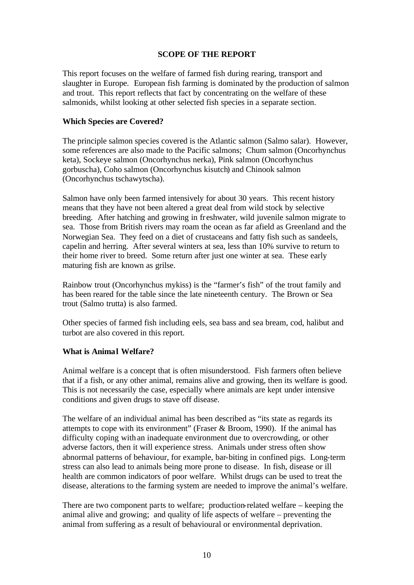#### **SCOPE OF THE REPORT**

This report focuses on the welfare of farmed fish during rearing, transport and slaughter in Europe. European fish farming is dominated by the production of salmon and trout. This report reflects that fact by concentrating on the welfare of these salmonids, whilst looking at other selected fish species in a separate section.

# **Which Species are Covered?**

The principle salmon species covered is the Atlantic salmon (Salmo salar). However, some references are also made to the Pacific salmons; Chum salmon (Oncorhynchus keta), Sockeye salmon (Oncorhynchus nerka), Pink salmon (Oncorhynchus gorbuscha), Coho salmon (Oncorhynchus kisutch) and Chinook salmon (Oncorhynchus tschawytscha).

Salmon have only been farmed intensively for about 30 years. This recent history means that they have not been altered a great deal from wild stock by selective breeding. After hatching and growing in fr eshwater, wild juvenile salmon migrate to sea. Those from British rivers may roam the ocean as far afield as Greenland and the Norwegian Sea. They feed on a diet of crustaceans and fatty fish such as sandeels, capelin and herring. After several winters at sea, less than 10% survive to return to their home river to breed. Some return after just one winter at sea. These early maturing fish are known as grilse.

Rainbow trout (Oncorhynchus mykiss) is the "farmer's fish" of the trout family and has been reared for the table since the late nineteenth century. The Brown or Sea trout (Salmo trutta) is also farmed.

Other species of farmed fish including eels, sea bass and sea bream, cod, halibut and turbot are also covered in this report.

#### **What is Animal Welfare?**

Animal welfare is a concept that is often misunderstood. Fish farmers often believe that if a fish, or any other animal, remains alive and growing, then its welfare is good. This is not necessarily the case, especially where animals are kept under intensive conditions and given drugs to stave off disease.

The welfare of an individual animal has been described as "its state as regards its attempts to cope with its environment" (Fraser & Broom, 1990). If the animal has difficulty coping with an inadequate environment due to overcrowding, or other adverse factors, then it will experience stress. Animals under stress often show abnormal patterns of behaviour, for example, bar-biting in confined pigs. Long-term stress can also lead to animals being more prone to disease. In fish, disease or ill health are common indicators of poor welfare. Whilst drugs can be used to treat the disease, alterations to the farming system are needed to improve the animal's welfare.

There are two component parts to welfare; production-related welfare – keeping the animal alive and growing; and quality of life aspects of welfare – preventing the animal from suffering as a result of behavioural or environmental deprivation.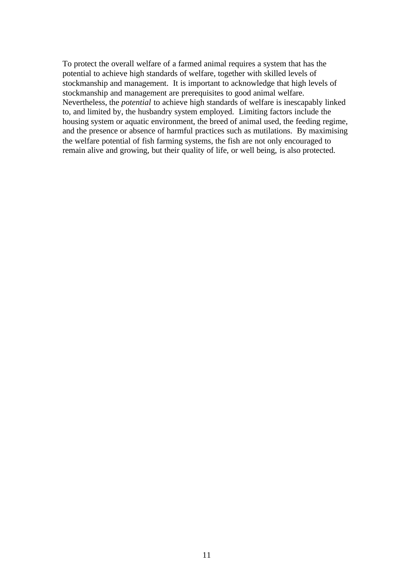To protect the overall welfare of a farmed animal requires a system that has the potential to achieve high standards of welfare, together with skilled levels of stockmanship and management. It is important to acknowledge that high levels of stockmanship and management are prerequisites to good animal welfare. Nevertheless, the *potential* to achieve high standards of welfare is inescapably linked to, and limited by, the husbandry system employed. Limiting factors include the housing system or aquatic environment, the breed of animal used, the feeding regime, and the presence or absence of harmful practices such as mutilations. By maximising the welfare potential of fish farming systems, the fish are not only encouraged to remain alive and growing, but their quality of life, or well being, is also protected.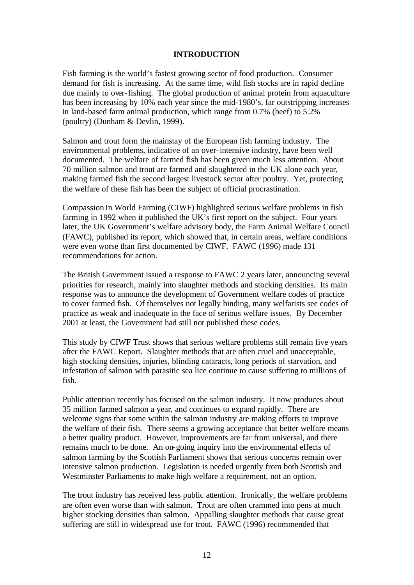#### **INTRODUCTION**

Fish farming is the world's fastest growing sector of food production. Consumer demand for fish is increasing. At the same time, wild fish stocks are in rapid decline due mainly to over-fishing. The global production of animal protein from aquaculture has been increasing by 10% each year since the mid-1980's, far outstripping increases in land-based farm animal production, which range from 0.7% (beef) to 5.2% (poultry) (Dunham & Devlin, 1999).

Salmon and trout form the mainstay of the European fish farming industry. The environmental problems, indicative of an over-intensive industry, have been well documented. The welfare of farmed fish has been given much less attention. About 70 million salmon and trout are farmed and slaughtered in the UK alone each year, making farmed fish the second largest livestock sector after poultry. Yet, protecting the welfare of these fish has been the subject of official procrastination.

Compassion In World Farming (CIWF) highlighted serious welfare problems in fish farming in 1992 when it published the UK's first report on the subject. Four years later, the UK Government's welfare advisory body, the Farm Animal Welfare Council (FAWC), published its report, which showed that, in certain areas, welfare conditions were even worse than first documented by CIWF. FAWC (1996) made 131 recommendations for action.

The British Government issued a response to FAWC 2 years later, announcing several priorities for research, mainly into slaughter methods and stocking densities. Its main response was to announce the development of Government welfare codes of practice to cover farmed fish. Of themselves not legally binding, many welfarists see codes of practice as weak and inadequate in the face of serious welfare issues. By December 2001 at least, the Government had still not published these codes.

This study by CIWF Trust shows that serious welfare problems still remain five years after the FAWC Report. Slaughter methods that are often cruel and unacceptable, high stocking densities, injuries, blinding cataracts, long periods of starvation, and infestation of salmon with parasitic sea lice continue to cause suffering to millions of fish.

Public attention recently has focused on the salmon industry. It now produces about 35 million farmed salmon a year, and continues to expand rapidly. There are welcome signs that some within the salmon industry are making efforts to improve the welfare of their fish. There seems a growing acceptance that better welfare means a better quality product. However, improvements are far from universal, and there remains much to be done. An on-going inquiry into the environmental effects of salmon farming by the Scottish Parliament shows that serious concerns remain over intensive salmon production. Legislation is needed urgently from both Scottish and Westminster Parliaments to make high welfare a requirement, not an option.

The trout industry has received less public attention. Ironically, the welfare problems are often even worse than with salmon. Trout are often crammed into pens at much higher stocking densities than salmon. Appalling slaughter methods that cause great suffering are still in widespread use for trout. FAWC (1996) recommended that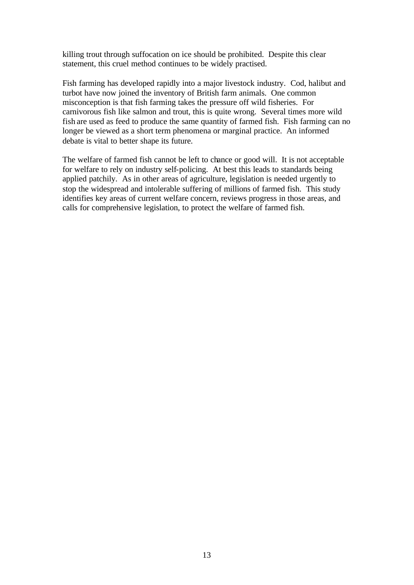killing trout through suffocation on ice should be prohibited. Despite this clear statement, this cruel method continues to be widely practised.

Fish farming has developed rapidly into a major livestock industry. Cod, halibut and turbot have now joined the inventory of British farm animals. One common misconception is that fish farming takes the pressure off wild fisheries. For carnivorous fish like salmon and trout, this is quite wrong. Several times more wild fish are used as feed to produce the same quantity of farmed fish. Fish farming can no longer be viewed as a short term phenomena or marginal practice. An informed debate is vital to better shape its future.

The welfare of farmed fish cannot be left to chance or good will. It is not acceptable for welfare to rely on industry self-policing. At best this leads to standards being applied patchily. As in other areas of agriculture, legislation is needed urgently to stop the widespread and intolerable suffering of millions of farmed fish. This study identifies key areas of current welfare concern, reviews progress in those areas, and calls for comprehensive legislation, to protect the welfare of farmed fish.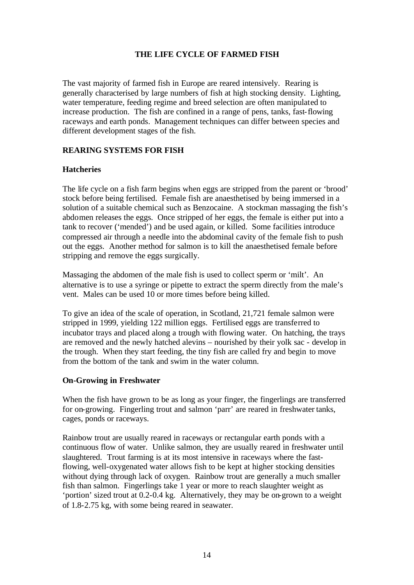# **THE LIFE CYCLE OF FARMED FISH**

The vast majority of farmed fish in Europe are reared intensively. Rearing is generally characterised by large numbers of fish at high stocking density. Lighting, water temperature, feeding regime and breed selection are often manipulated to increase production. The fish are confined in a range of pens, tanks, fast-flowing raceways and earth ponds. Management techniques can differ between species and different development stages of the fish.

# **REARING SYSTEMS FOR FISH**

#### **Hatcheries**

The life cycle on a fish farm begins when eggs are stripped from the parent or 'brood' stock before being fertilised. Female fish are anaesthetised by being immersed in a solution of a suitable chemical such as Benzocaine. A stockman massaging the fish's abdomen releases the eggs. Once stripped of her eggs, the female is either put into a tank to recover ('mended') and be used again, or killed. Some facilities introduce compressed air through a needle into the abdominal cavity of the female fish to push out the eggs. Another method for salmon is to kill the anaesthetised female before stripping and remove the eggs surgically.

Massaging the abdomen of the male fish is used to collect sperm or 'milt'. An alternative is to use a syringe or pipette to extract the sperm directly from the male's vent. Males can be used 10 or more times before being killed.

To give an idea of the scale of operation, in Scotland, 21,721 female salmon were stripped in 1999, yielding 122 million eggs. Fertilised eggs are transferred to incubator trays and placed along a trough with flowing water. On hatching, the trays are removed and the newly hatched alevins – nourished by their yolk sac - develop in the trough. When they start feeding, the tiny fish are called fry and begin to move from the bottom of the tank and swim in the water column.

#### **On-Growing in Freshwater**

When the fish have grown to be as long as your finger, the fingerlings are transferred for on-growing. Fingerling trout and salmon 'parr' are reared in freshwater tanks, cages, ponds or raceways.

Rainbow trout are usually reared in raceways or rectangular earth ponds with a continuous flow of water. Unlike salmon, they are usually reared in freshwater until slaughtered. Trout farming is at its most intensive in raceways where the fastflowing, well-oxygenated water allows fish to be kept at higher stocking densities without dying through lack of oxygen. Rainbow trout are generally a much smaller fish than salmon. Fingerlings take 1 year or more to reach slaughter weight as 'portion' sized trout at 0.2-0.4 kg. Alternatively, they may be on-grown to a weight of 1.8-2.75 kg, with some being reared in seawater.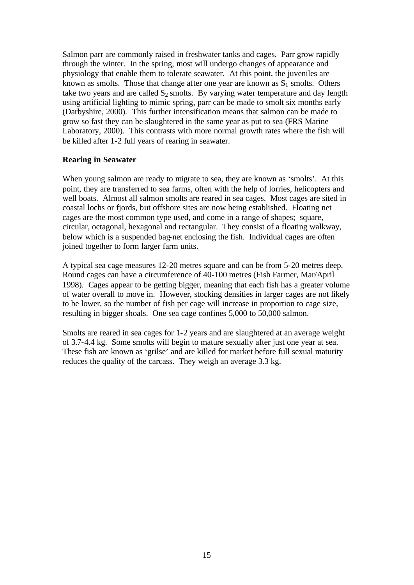Salmon parr are commonly raised in freshwater tanks and cages. Parr grow rapidly through the winter. In the spring, most will undergo changes of appearance and physiology that enable them to tolerate seawater. At this point, the juveniles are known as smolts. Those that change after one year are known as  $S_1$  smolts. Others take two years and are called  $S_2$  smolts. By varying water temperature and day length using artificial lighting to mimic spring, parr can be made to smolt six months early (Darbyshire, 2000). This further intensification means that salmon can be made to grow so fast they can be slaughtered in the same year as put to sea (FRS Marine Laboratory, 2000). This contrasts with more normal growth rates where the fish will be killed after 1-2 full years of rearing in seawater.

#### **Rearing in Seawater**

When young salmon are ready to migrate to sea, they are known as 'smolts'. At this point, they are transferred to sea farms, often with the help of lorries, helicopters and well boats. Almost all salmon smolts are reared in sea cages. Most cages are sited in coastal lochs or fjords, but offshore sites are now being established. Floating net cages are the most common type used, and come in a range of shapes; square, circular, octagonal, hexagonal and rectangular. They consist of a floating walkway, below which is a suspended bag-net enclosing the fish. Individual cages are often joined together to form larger farm units.

A typical sea cage measures 12-20 metres square and can be from 5-20 metres deep. Round cages can have a circumference of 40-100 metres (Fish Farmer, Mar/April 1998). Cages appear to be getting bigger, meaning that each fish has a greater volume of water overall to move in. However, stocking densities in larger cages are not likely to be lower, so the number of fish per cage will increase in proportion to cage size, resulting in bigger shoals. One sea cage confines 5,000 to 50,000 salmon.

Smolts are reared in sea cages for 1-2 years and are slaughtered at an average weight of 3.7-4.4 kg. Some smolts will begin to mature sexually after just one year at sea. These fish are known as 'grilse' and are killed for market before full sexual maturity reduces the quality of the carcass. They weigh an average 3.3 kg.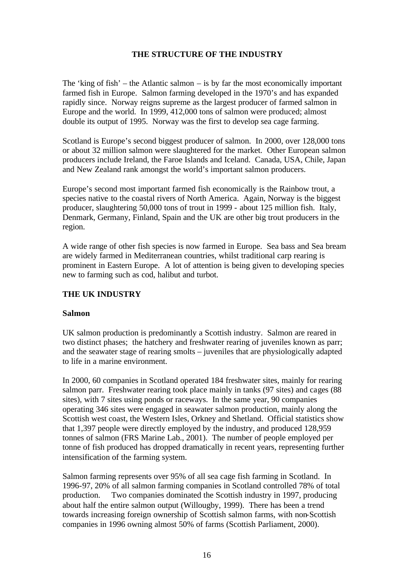# **THE STRUCTURE OF THE INDUSTRY**

The 'king of fish' – the Atlantic salmon – is by far the most economically important farmed fish in Europe. Salmon farming developed in the 1970's and has expanded rapidly since. Norway reigns supreme as the largest producer of farmed salmon in Europe and the world. In 1999, 412,000 tons of salmon were produced; almost double its output of 1995. Norway was the first to develop sea cage farming.

Scotland is Europe's second biggest producer of salmon. In 2000, over 128,000 tons or about 32 million salmon were slaughtered for the market. Other European salmon producers include Ireland, the Faroe Islands and Iceland. Canada, USA, Chile, Japan and New Zealand rank amongst the world's important salmon producers.

Europe's second most important farmed fish economically is the Rainbow trout, a species native to the coastal rivers of North America. Again, Norway is the biggest producer, slaughtering 50,000 tons of trout in 1999 - about 125 million fish. Italy, Denmark, Germany, Finland, Spain and the UK are other big trout producers in the region.

A wide range of other fish species is now farmed in Europe. Sea bass and Sea bream are widely farmed in Mediterranean countries, whilst traditional carp rearing is prominent in Eastern Europe. A lot of attention is being given to developing species new to farming such as cod, halibut and turbot.

# **THE UK INDUSTRY**

#### **Salmon**

UK salmon production is predominantly a Scottish industry. Salmon are reared in two distinct phases; the hatchery and freshwater rearing of juveniles known as parr; and the seawater stage of rearing smolts – juveniles that are physiologically adapted to life in a marine environment.

In 2000, 60 companies in Scotland operated 184 freshwater sites, mainly for rearing salmon parr. Freshwater rearing took place mainly in tanks (97 sites) and cages (88 sites), with 7 sites using ponds or raceways. In the same year, 90 companies operating 346 sites were engaged in seawater salmon production, mainly along the Scottish west coast, the Western Isles, Orkney and Shetland. Official statistics show that 1,397 people were directly employed by the industry, and produced 128,959 tonnes of salmon (FRS Marine Lab., 2001). The number of people employed per tonne of fish produced has dropped dramatically in recent years, representing further intensification of the farming system.

Salmon farming represents over 95% of all sea cage fish farming in Scotland. In 1996-97, 20% of all salmon farming companies in Scotland controlled 78% of total production. Two companies dominated the Scottish industry in 1997, producing about half the entire salmon output (Willougby, 1999). There has been a trend towards increasing foreign ownership of Scottish salmon farms, with non-Scottish companies in 1996 owning almost 50% of farms (Scottish Parliament, 2000).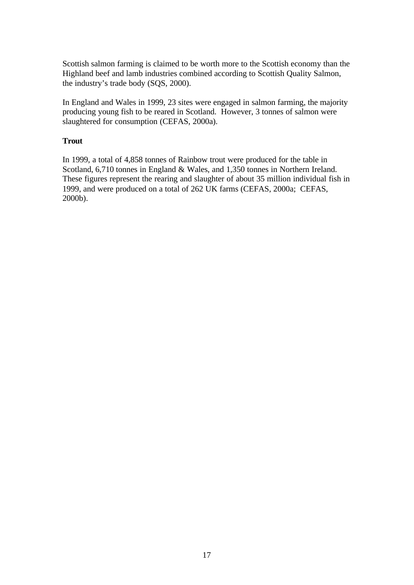Scottish salmon farming is claimed to be worth more to the Scottish economy than the Highland beef and lamb industries combined according to Scottish Quality Salmon, the industry's trade body (SQS, 2000).

In England and Wales in 1999, 23 sites were engaged in salmon farming, the majority producing young fish to be reared in Scotland. However, 3 tonnes of salmon were slaughtered for consumption (CEFAS, 2000a).

# **Trout**

In 1999, a total of 4,858 tonnes of Rainbow trout were produced for the table in Scotland, 6,710 tonnes in England & Wales, and 1,350 tonnes in Northern Ireland. These figures represent the rearing and slaughter of about 35 million individual fish in 1999, and were produced on a total of 262 UK farms (CEFAS, 2000a; CEFAS, 2000b).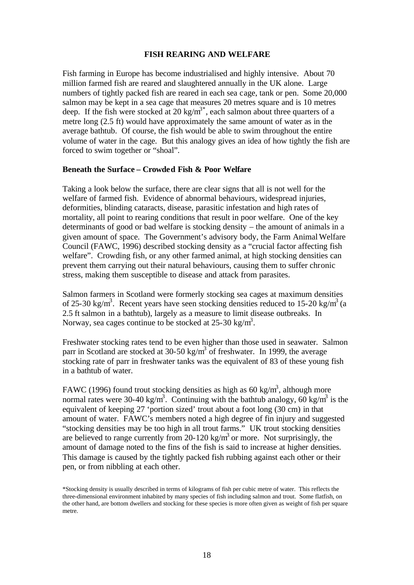#### **FISH REARING AND WELFARE**

Fish farming in Europe has become industrialised and highly intensive. About 70 million farmed fish are reared and slaughtered annually in the UK alone. Large numbers of tightly packed fish are reared in each sea cage, tank or pen. Some 20,000 salmon may be kept in a sea cage that measures 20 metres square and is 10 metres deep. If the fish were stocked at 20 kg/m<sup>3\*</sup>, each salmon about three quarters of a metre long (2.5 ft) would have approximately the same amount of water as in the average bathtub. Of course, the fish would be able to swim throughout the entire volume of water in the cage. But this analogy gives an idea of how tightly the fish are forced to swim together or "shoal".

#### **Beneath the Surface – Crowded Fish & Poor Welfare**

Taking a look below the surface, there are clear signs that all is not well for the welfare of farmed fish. Evidence of abnormal behaviours, widespread injuries, deformities, blinding cataracts, disease, parasitic infestation and high rates of mortality, all point to rearing conditions that result in poor welfare. One of the key determinants of good or bad welfare is stocking density – the amount of animals in a given amount of space. The Government's advisory body, the Farm Animal Welfare Council (FAWC, 1996) described stocking density as a "crucial factor affecting fish welfare". Crowding fish, or any other farmed animal, at high stocking densities can prevent them carrying out their natural behaviours, causing them to suffer chronic stress, making them susceptible to disease and attack from parasites.

Salmon farmers in Scotland were formerly stocking sea cages at maximum densities of 25-30 kg/m<sup>3</sup>. Recent years have seen stocking densities reduced to 15-20 kg/m<sup>3</sup> (a 2.5 ft salmon in a bathtub), largely as a measure to limit disease outbreaks. In Norway, sea cages continue to be stocked at  $25{\text -}30 \text{ kg/m}^3$ .

Freshwater stocking rates tend to be even higher than those used in seawater. Salmon parr in Scotland are stocked at 30-50 kg/ $m^3$  of freshwater. In 1999, the average stocking rate of parr in freshwater tanks was the equivalent of 83 of these young fish in a bathtub of water.

FAWC (1996) found trout stocking densities as high as 60 kg/m<sup>3</sup>, although more normal rates were 30-40 kg/m<sup>3</sup>. Continuing with the bathtub analogy, 60 kg/m<sup>3</sup> is the equivalent of keeping 27 'portion sized' trout about a foot long (30 cm) in that amount of water. FAWC's members noted a high degree of fin injury and suggested "stocking densities may be too high in all trout farms." UK trout stocking densities are believed to range currently from 20-120 kg/m<sup>3</sup> or more. Not surprisingly, the amount of damage noted to the fins of the fish is said to increase at higher densities. This damage is caused by the tightly packed fish rubbing against each other or their pen, or from nibbling at each other.

\*Stocking density is usually described in terms of kilograms of fish per cubic metre of water. This reflects the three-dimensional environment inhabited by many species of fish including salmon and trout. Some flatfish, on the other hand, are bottom dwellers and stocking for these species is more often given as weight of fish per square metre.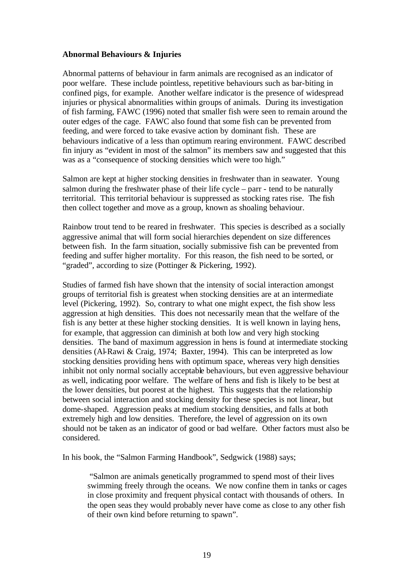#### **Abnormal Behaviours & Injuries**

Abnormal patterns of behaviour in farm animals are recognised as an indicator of poor welfare. These include pointless, repetitive behaviours such as bar-biting in confined pigs, for example. Another welfare indicator is the presence of widespread injuries or physical abnormalities within groups of animals. During its investigation of fish farming, FAWC (1996) noted that smaller fish were seen to remain around the outer edges of the cage. FAWC also found that some fish can be prevented from feeding, and were forced to take evasive action by dominant fish. These are behaviours indicative of a less than optimum rearing environment. FAWC described fin injury as "evident in most of the salmon" its members saw and suggested that this was as a "consequence of stocking densities which were too high."

Salmon are kept at higher stocking densities in freshwater than in seawater. Young salmon during the freshwater phase of their life cycle – parr - tend to be naturally territorial. This territorial behaviour is suppressed as stocking rates rise. The fish then collect together and move as a group, known as shoaling behaviour.

Rainbow trout tend to be reared in freshwater. This species is described as a socially aggressive animal that will form social hierarchies dependent on size differences between fish. In the farm situation, socially submissive fish can be prevented from feeding and suffer higher mortality. For this reason, the fish need to be sorted, or "graded", according to size (Pottinger & Pickering, 1992).

Studies of farmed fish have shown that the intensity of social interaction amongst groups of territorial fish is greatest when stocking densities are at an intermediate level (Pickering, 1992). So, contrary to what one might expect, the fish show less aggression at high densities. This does not necessarily mean that the welfare of the fish is any better at these higher stocking densities. It is well known in laying hens, for example, that aggression can diminish at both low and very high stocking densities. The band of maximum aggression in hens is found at intermediate stocking densities (Al-Rawi & Craig, 1974; Baxter, 1994). This can be interpreted as low stocking densities providing hens with optimum space, whereas very high densities inhibit not only normal socially acceptable behaviours, but even aggressive behaviour as well, indicating poor welfare. The welfare of hens and fish is likely to be best at the lower densities, but poorest at the highest. This suggests that the relationship between social interaction and stocking density for these species is not linear, but dome-shaped. Aggression peaks at medium stocking densities, and falls at both extremely high and low densities. Therefore, the level of aggression on its own should not be taken as an indicator of good or bad welfare. Other factors must also be considered.

In his book, the "Salmon Farming Handbook", Sedgwick (1988) says;

"Salmon are animals genetically programmed to spend most of their lives swimming freely through the oceans. We now confine them in tanks or cages in close proximity and frequent physical contact with thousands of others. In the open seas they would probably never have come as close to any other fish of their own kind before returning to spawn".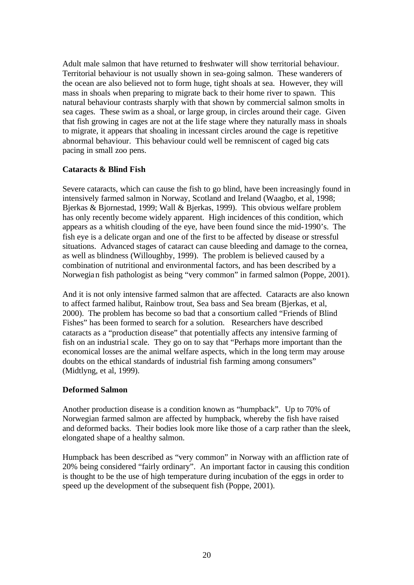Adult male salmon that have returned to freshwater will show territorial behaviour. Territorial behaviour is not usually shown in sea-going salmon. These wanderers of the ocean are also believed not to form huge, tight shoals at sea. However, they will mass in shoals when preparing to migrate back to their home river to spawn. This natural behaviour contrasts sharply with that shown by commercial salmon smolts in sea cages. These swim as a shoal, or large group, in circles around their cage. Given that fish growing in cages are not at the life stage where they naturally mass in shoals to migrate, it appears that shoaling in incessant circles around the cage is repetitive abnormal behaviour. This behaviour could well be remniscent of caged big cats pacing in small zoo pens.

# **Cataracts & Blind Fish**

Severe cataracts, which can cause the fish to go blind, have been increasingly found in intensively farmed salmon in Norway, Scotland and Ireland (Waagbo, et al, 1998; Bjerkas & Bjornestad, 1999; Wall & Bjerkas, 1999). This obvious welfare problem has only recently become widely apparent. High incidences of this condition, which appears as a whitish clouding of the eye, have been found since the mid-1990's. The fish eye is a delicate organ and one of the first to be affected by disease or stressful situations. Advanced stages of cataract can cause bleeding and damage to the cornea, as well as blindness (Willoughby, 1999). The problem is believed caused by a combination of nutritional and environmental factors, and has been described by a Norwegian fish pathologist as being "very common" in farmed salmon (Poppe, 2001).

And it is not only intensive farmed salmon that are affected. Cataracts are also known to affect farmed halibut, Rainbow trout, Sea bass and Sea bream (Bjerkas, et al, 2000). The problem has become so bad that a consortium called "Friends of Blind Fishes" has been formed to search for a solution. Researchers have described cataracts as a "production disease" that potentially affects any intensive farming of fish on an industrial scale. They go on to say that "Perhaps more important than the economical losses are the animal welfare aspects, which in the long term may arouse doubts on the ethical standards of industrial fish farming among consumers" (Midtlyng, et al, 1999).

# **Deformed Salmon**

Another production disease is a condition known as "humpback". Up to 70% of Norwegian farmed salmon are affected by humpback, whereby the fish have raised and deformed backs. Their bodies look more like those of a carp rather than the sleek, elongated shape of a healthy salmon.

Humpback has been described as "very common" in Norway with an affliction rate of 20% being considered "fairly ordinary". An important factor in causing this condition is thought to be the use of high temperature during incubation of the eggs in order to speed up the development of the subsequent fish (Poppe, 2001).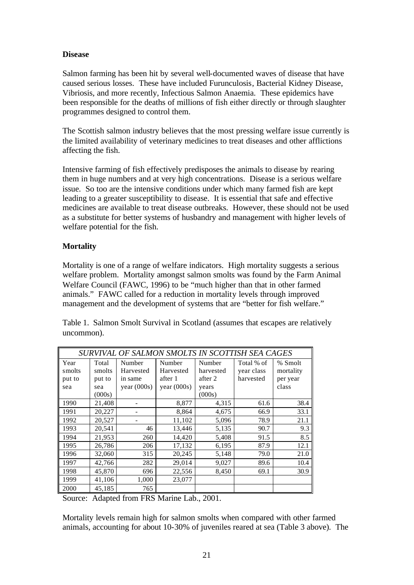# **Disease**

Salmon farming has been hit by several well-documented waves of disease that have caused serious losses. These have included Furunculosis, Bacterial Kidney Disease, Vibriosis, and more recently, Infectious Salmon Anaemia. These epidemics have been responsible for the deaths of millions of fish either directly or through slaughter programmes designed to control them.

The Scottish salmon industry believes that the most pressing welfare issue currently is the limited availability of veterinary medicines to treat diseases and other afflictions affecting the fish.

Intensive farming of fish effectively predisposes the animals to disease by rearing them in huge numbers and at very high concentrations. Disease is a serious welfare issue. So too are the intensive conditions under which many farmed fish are kept leading to a greater susceptibility to disease. It is essential that safe and effective medicines are available to treat disease outbreaks. However, these should not be used as a substitute for better systems of husbandry and management with higher levels of welfare potential for the fish.

# **Mortality**

Mortality is one of a range of welfare indicators. High mortality suggests a serious welfare problem. Mortality amongst salmon smolts was found by the Farm Animal Welfare Council (FAWC, 1996) to be "much higher than that in other farmed animals." FAWC called for a reduction in mortality levels through improved management and the development of systems that are "better for fish welfare."

|            |  |  | Table 1. Salmon Smolt Survival in Scotland (assumes that escapes are relatively |  |  |
|------------|--|--|---------------------------------------------------------------------------------|--|--|
| uncommon). |  |  |                                                                                 |  |  |

| SURVIVAL OF SALMON SMOLTS IN SCOTTISH SEA CAGES |        |               |               |           |            |           |
|-------------------------------------------------|--------|---------------|---------------|-----------|------------|-----------|
| Year                                            | Total  | Number        | Number        | Number    | Total % of | % Smolt   |
| smolts                                          | smolts | Harvested     | Harvested     | harvested | year class | mortality |
| put to                                          | put to | in same       | after 1       | after 2   | harvested  | per year  |
| sea                                             | sea    | year $(000s)$ | year $(000s)$ | years     |            | class     |
|                                                 | (000s) |               |               | (000s)    |            |           |
| 1990                                            | 21,408 |               | 8,877         | 4,315     | 61.6       | 38.4      |
| 1991                                            | 20,227 |               | 8,864         | 4,675     | 66.9       | 33.1      |
| 1992                                            | 20,527 |               | 11,102        | 5,096     | 78.9       | 21.1      |
| 1993                                            | 20,541 | 46            | 13,446        | 5,135     | 90.7       | 9.3       |
| 1994                                            | 21,953 | 260           | 14,420        | 5,408     | 91.5       | 8.5       |
| 1995                                            | 26,786 | 206           | 17,132        | 6,195     | 87.9       | 12.1      |
| 1996                                            | 32,060 | 315           | 20,245        | 5,148     | 79.0       | 21.0      |
| 1997                                            | 42,766 | 282           | 29,014        | 9,027     | 89.6       | 10.4      |
| 1998                                            | 45,870 | 696           | 22,556        | 8,450     | 69.1       | 30.9      |
| 1999                                            | 41,106 | 1,000         | 23,077        |           |            |           |
| 2000                                            | 45,185 | 765           |               |           |            |           |

Source: Adapted from FRS Marine Lab., 2001.

Mortality levels remain high for salmon smolts when compared with other farmed animals, accounting for about 10-30% of juveniles reared at sea (Table 3 above). The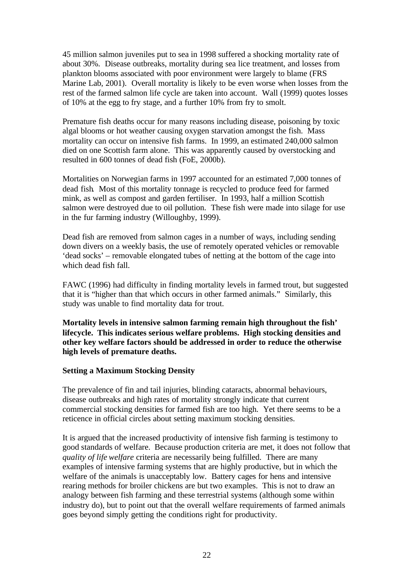45 million salmon juveniles put to sea in 1998 suffered a shocking mortality rate of about 30%. Disease outbreaks, mortality during sea lice treatment, and losses from plankton blooms associated with poor environment were largely to blame (FRS Marine Lab, 2001). Overall mortality is likely to be even worse when losses from the rest of the farmed salmon life cycle are taken into account. Wall (1999) quotes losses of 10% at the egg to fry stage, and a further 10% from fry to smolt.

Premature fish deaths occur for many reasons including disease, poisoning by toxic algal blooms or hot weather causing oxygen starvation amongst the fish. Mass mortality can occur on intensive fish farms. In 1999, an estimated 240,000 salmon died on one Scottish farm alone. This was apparently caused by overstocking and resulted in 600 tonnes of dead fish (FoE, 2000b).

Mortalities on Norwegian farms in 1997 accounted for an estimated 7,000 tonnes of dead fish. Most of this mortality tonnage is recycled to produce feed for farmed mink, as well as compost and garden fertiliser. In 1993, half a million Scottish salmon were destroyed due to oil pollution. These fish were made into silage for use in the fur farming industry (Willoughby, 1999).

Dead fish are removed from salmon cages in a number of ways, including sending down divers on a weekly basis, the use of remotely operated vehicles or removable 'dead socks' – removable elongated tubes of netting at the bottom of the cage into which dead fish fall.

FAWC (1996) had difficulty in finding mortality levels in farmed trout, but suggested that it is "higher than that which occurs in other farmed animals." Similarly, this study was unable to find mortality data for trout.

**Mortality levels in intensive salmon farming remain high throughout the fish' lifecycle. This indicates serious welfare problems. High stocking densities and other key welfare factors should be addressed in order to reduce the otherwise high levels of premature deaths.**

#### **Setting a Maximum Stocking Density**

The prevalence of fin and tail injuries, blinding cataracts, abnormal behaviours, disease outbreaks and high rates of mortality strongly indicate that current commercial stocking densities for farmed fish are too high. Yet there seems to be a reticence in official circles about setting maximum stocking densities.

It is argued that the increased productivity of intensive fish farming is testimony to good standards of welfare. Because production criteria are met, it does not follow that *quality of life welfare* criteria are necessarily being fulfilled. There are many examples of intensive farming systems that are highly productive, but in which the welfare of the animals is unacceptably low. Battery cages for hens and intensive rearing methods for broiler chickens are but two examples. This is not to draw an analogy between fish farming and these terrestrial systems (although some within industry do), but to point out that the overall welfare requirements of farmed animals goes beyond simply getting the conditions right for productivity.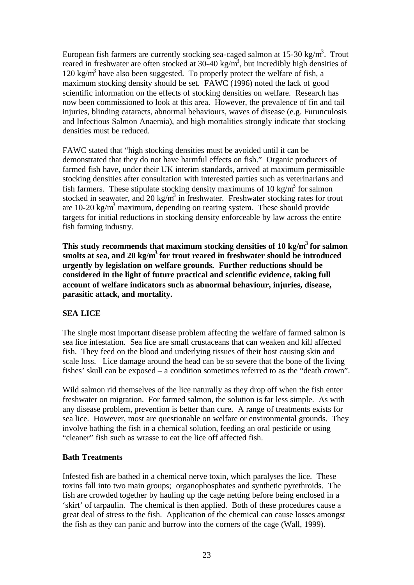European fish farmers are currently stocking sea-caged salmon at  $15\text{-}30 \text{ kg/m}^3$ . Trout reared in freshwater are often stocked at 30-40 kg/m<sup>3</sup>, but incredibly high densities of  $120 \text{ kg/m}^3$  have also been suggested. To properly protect the welfare of fish, a maximum stocking density should be set. FAWC (1996) noted the lack of good scientific information on the effects of stocking densities on welfare. Research has now been commissioned to look at this area. However, the prevalence of fin and tail injuries, blinding cataracts, abnormal behaviours, waves of disease (e.g. Furunculosis and Infectious Salmon Anaemia), and high mortalities strongly indicate that stocking densities must be reduced.

FAWC stated that "high stocking densities must be avoided until it can be demonstrated that they do not have harmful effects on fish." Organic producers of farmed fish have, under their UK interim standards, arrived at maximum permissible stocking densities after consultation with interested parties such as veterinarians and fish farmers. These stipulate stocking density maximums of 10 kg/m<sup>3</sup> for salmon stocked in seawater, and 20 kg/m<sup>3</sup> in freshwater. Freshwater stocking rates for trout are 10-20 kg/ $m<sup>3</sup>$  maximum, depending on rearing system. These should provide targets for initial reductions in stocking density enforceable by law across the entire fish farming industry.

**This study recommends that maximum stocking densities of 10 kg/m<sup>3</sup>for salmon smolts at sea, and 20 kg/m<sup>3</sup>for trout reared in freshwater should be introduced urgently by legislation on welfare grounds. Further reductions should be considered in the light of future practical and scientific evidence, taking full account of welfare indicators such as abnormal behaviour, injuries, disease, parasitic attack, and mortality.**

# **SEA LICE**

The single most important disease problem affecting the welfare of farmed salmon is sea lice infestation. Sea lice are small crustaceans that can weaken and kill affected fish. They feed on the blood and underlying tissues of their host causing skin and scale loss. Lice damage around the head can be so severe that the bone of the living fishes' skull can be exposed – a condition sometimes referred to as the "death crown".

Wild salmon rid themselves of the lice naturally as they drop off when the fish enter freshwater on migration. For farmed salmon, the solution is far less simple. As with any disease problem, prevention is better than cure. A range of treatments exists for sea lice. However, most are questionable on welfare or environmental grounds. They involve bathing the fish in a chemical solution, feeding an oral pesticide or using "cleaner" fish such as wrasse to eat the lice off affected fish.

#### **Bath Treatments**

Infested fish are bathed in a chemical nerve toxin, which paralyses the lice. These toxins fall into two main groups; organophosphates and synthetic pyrethroids. The fish are crowded together by hauling up the cage netting before being enclosed in a 'skirt' of tarpaulin. The chemical is then applied. Both of these procedures cause a great deal of stress to the fish. Application of the chemical can cause losses amongst the fish as they can panic and burrow into the corners of the cage (Wall, 1999).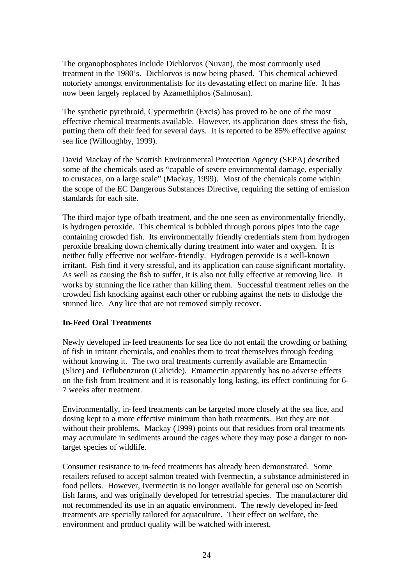The organophosphates include Dichlorvos (Nuvan), the most commonly used treatment in the 1980's. Dichlorvos is now being phased. This chemical achieved notoriety amongst environmentalists for its devastating effect on marine life. It has now been largely replaced by Azamethiphos (Salmosan).

The synthetic pyrethroid, Cypermethrin (Excis) has proved to be one of the most effective chemical treatments available. However, its application does stress the fish, putting them off their feed for several days.It is reported to be 85% effective against sea lice (Willoughby, 1999).

David Mackay of the Scottish Environmental Protection Agency (SEPA) described some of the chemicals used as "capable of severe environmental damage, especially to crustacea, on a large scale" (Mackay, 1999). Most of the chemicals come within the scope of the EC Dangerous Substances Directive, requiring the setting of emission standards for each site.

The third major type of bath treatment, and the one seen as environmentally friendly, is hydrogen peroxide. This chemical is bubbled through porous pipes into the cage containing crowded fish. Its environmentally friendly credentials stem from hydrogen peroxide breaking down chemically during treatment into water and oxygen. It is neither fully effective nor welfare-friendly. Hydrogen peroxide is a well-known irritant.Fish find it very stressful, and its application can cause significant mortality. As well as causing the fish to suffer, it is also not fully effective at removing lice. It works by stunning the lice rather than killing them. Successful treatment relies on the crowded fish knocking against each other or rubbing against the nets to dislodge the stunned lice. Any lice that are not removed simply recover.

#### **In-Feed Oral Treatments**

Newly developed in-feed treatments for sea lice do not entail the crowding or bathing of fish in irritant chemicals, and enables them to treat themselves through feeding without knowing it. The two oral treatments currently available are Emamectin (Slice) and Teflubenzuron (Calicide). Emamectin apparently has no adverse effects on the fish from treatment and it is reasonably long lasting, its effect continuing for 6- 7 weeks after treatment.

Environmentally, in-feed treatments can be targeted more closely at the sea lice, and dosing kept to a more effective minimum than bath treatments. But they are not without their problems. Mackay (1999) points out that residues from oral treatments may accumulate in sediments around the cages where they may pose a danger to nontarget species of wildlife.

Consumer resistance to in-feed treatments has already been demonstrated. Some retailers refused to accept salmon treated with Ivermectin, a substance administered in food pellets. However, Ivermectin is no longer available for general use on Scottish fish farms, and was originally developed for terrestrial species. The manufacturer did not recommended its use in an aquatic environment. The newly developed in-feed treatments are specially tailored for aquaculture. Their effect on welfare, the environment and product quality will be watched with interest.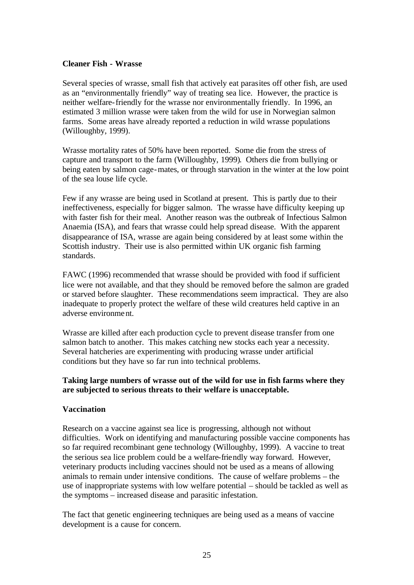#### **Cleaner Fish - Wrasse**

Several species of wrasse, small fish that actively eat parasites off other fish, are used as an "environmentally friendly" way of treating sea lice. However, the practice is neither welfare-friendly for the wrasse nor environmentally friendly. In 1996, an estimated 3 million wrasse were taken from the wild for use in Norwegian salmon farms. Some areas have already reported a reduction in wild wrasse populations (Willoughby, 1999).

Wrasse mortality rates of 50% have been reported. Some die from the stress of capture and transport to the farm (Willoughby, 1999). Others die from bullying or being eaten by salmon cage-mates, or through starvation in the winter at the low point of the sea louse life cycle.

Few if any wrasse are being used in Scotland at present. This is partly due to their ineffectiveness, especially for bigger salmon. The wrasse have difficulty keeping up with faster fish for their meal. Another reason was the outbreak of Infectious Salmon Anaemia (ISA), and fears that wrasse could help spread disease. With the apparent disappearance of ISA, wrasse are again being considered by at least some within the Scottish industry. Their use is also permitted within UK organic fish farming standards.

FAWC (1996) recommended that wrasse should be provided with food if sufficient lice were not available, and that they should be removed before the salmon are graded or starved before slaughter. These recommendations seem impractical. They are also inadequate to properly protect the welfare of these wild creatures held captive in an adverse environment.

Wrasse are killed after each production cycle to prevent disease transfer from one salmon batch to another. This makes catching new stocks each year a necessity. Several hatcheries are experimenting with producing wrasse under artificial conditions but they have so far run into technical problems.

# **Taking large numbers of wrasse out of the wild for use in fish farms where they are subjected to serious threats to their welfare is unacceptable.**

#### **Vaccination**

Research on a vaccine against sea lice is progressing, although not without difficulties. Work on identifying and manufacturing possible vaccine components has so far required recombinant gene technology (Willoughby, 1999). A vaccine to treat the serious sea lice problem could be a welfare-friendly way forward. However, veterinary products including vaccines should not be used as a means of allowing animals to remain under intensive conditions. The cause of welfare problems – the use of inappropriate systems with low welfare potential – should be tackled as well as the symptoms – increased disease and parasitic infestation.

The fact that genetic engineering techniques are being used as a means of vaccine development is a cause for concern.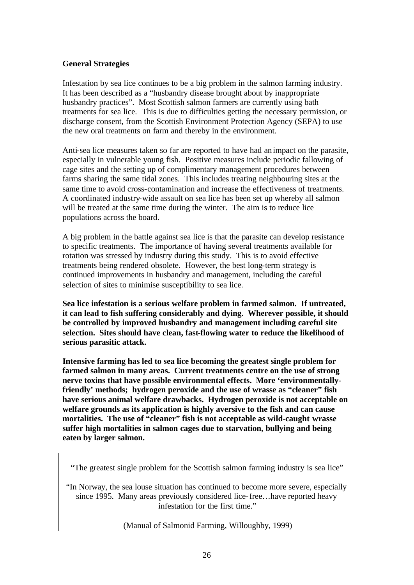#### **General Strategies**

Infestation by sea lice continues to be a big problem in the salmon farming industry. It has been described as a "husbandry disease brought about by inappropriate husbandry practices". Most Scottish salmon farmers are currently using bath treatments for sea lice. This is due to difficulties getting the necessary permission, or discharge consent, from the Scottish Environment Protection Agency (SEPA) to use the new oral treatments on farm and thereby in the environment.

Anti-sea lice measures taken so far are reported to have had an impact on the parasite, especially in vulnerable young fish. Positive measures include periodic fallowing of cage sites and the setting up of complimentary management procedures between farms sharing the same tidal zones. This includes treating neighbouring sites at the same time to avoid cross-contamination and increase the effectiveness of treatments. A coordinated industry-wide assault on sea lice has been set up whereby all salmon will be treated at the same time during the winter. The aim is to reduce lice populations across the board.

A big problem in the battle against sea lice is that the parasite can develop resistance to specific treatments. The importance of having several treatments available for rotation was stressed by industry during this study. This is to avoid effective treatments being rendered obsolete. However, the best long-term strategy is continued improvements in husbandry and management, including the careful selection of sites to minimise susceptibility to sea lice.

**Sea lice infestation is a serious welfare problem in farmed salmon. If untreated, it can lead to fish suffering considerably and dying. Wherever possible, it should be controlled by improved husbandry and management including careful site selection. Sites should have clean, fast-flowing water to reduce the likelihood of serious parasitic attack.** 

**Intensive farming has led to sea lice becoming the greatest single problem for farmed salmon in many areas. Current treatments centre on the use of strong nerve toxins that have possible environmental effects. More 'environmentallyfriendly' methods; hydrogen peroxide and the use of wrasse as "cleaner" fish have serious animal welfare drawbacks. Hydrogen peroxide is not acceptable on welfare grounds as its application is highly aversive to the fish and can cause mortalities. The use of "cleaner" fish is not acceptable as wild-caught wrasse suffer high mortalities in salmon cages due to starvation, bullying and being eaten by larger salmon.**

"The greatest single problem for the Scottish salmon farming industry is sea lice"

"In Norway, the sea louse situation has continued to become more severe, especially since 1995. Many areas previously considered lice-free…have reported heavy infestation for the first time."

(Manual of Salmonid Farming, Willoughby, 1999)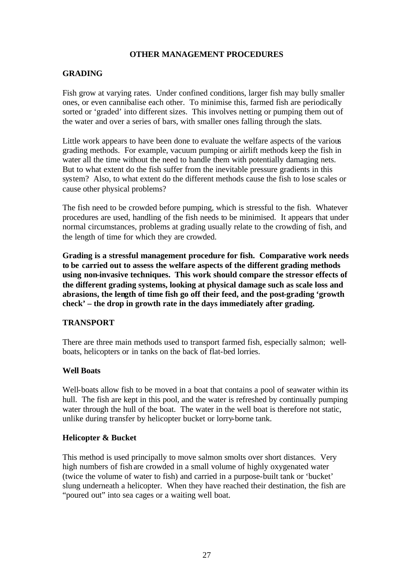### **OTHER MANAGEMENT PROCEDURES**

# **GRADING**

Fish grow at varying rates. Under confined conditions, larger fish may bully smaller ones, or even cannibalise each other. To minimise this, farmed fish are periodically sorted or 'graded' into different sizes. This involves netting or pumping them out of the water and over a series of bars, with smaller ones falling through the slats.

Little work appears to have been done to evaluate the welfare aspects of the various grading methods. For example, vacuum pumping or airlift methods keep the fish in water all the time without the need to handle them with potentially damaging nets. But to what extent do the fish suffer from the inevitable pressure gradients in this system? Also, to what extent do the different methods cause the fish to lose scales or cause other physical problems?

The fish need to be crowded before pumping, which is stressful to the fish. Whatever procedures are used, handling of the fish needs to be minimised. It appears that under normal circumstances, problems at grading usually relate to the crowding of fish, and the length of time for which they are crowded.

**Grading is a stressful management procedure for fish. Comparative work needs to be carried out to assess the welfare aspects of the different grading methods using non-invasive techniques. This work should compare the stressor effects of the different grading systems, looking at physical damage such as scale loss and abrasions, the length of time fish go off their feed, and the post-grading 'growth check' – the drop in growth rate in the days immediately after grading.**

#### **TRANSPORT**

There are three main methods used to transport farmed fish, especially salmon; wellboats, helicopters or in tanks on the back of flat-bed lorries.

#### **Well Boats**

Well-boats allow fish to be moved in a boat that contains a pool of seawater within its hull. The fish are kept in this pool, and the water is refreshed by continually pumping water through the hull of the boat. The water in the well boat is therefore not static, unlike during transfer by helicopter bucket or lorry-borne tank.

#### **Helicopter & Bucket**

This method is used principally to move salmon smolts over short distances. Very high numbers of fish are crowded in a small volume of highly oxygenated water (twice the volume of water to fish) and carried in a purpose-built tank or 'bucket' slung underneath a helicopter. When they have reached their destination, the fish are "poured out" into sea cages or a waiting well boat.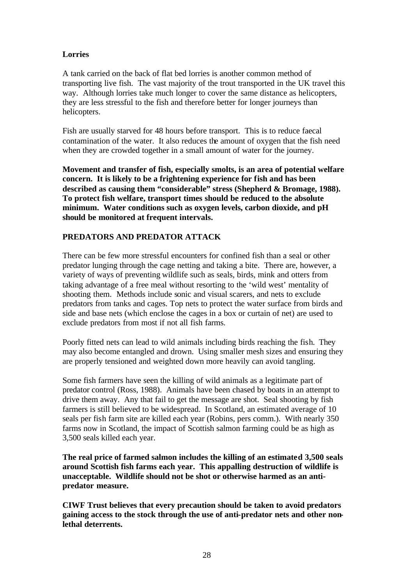# **Lorries**

A tank carried on the back of flat bed lorries is another common method of transporting live fish. The vast majority of the trout transported in the UK travel this way. Although lorries take much longer to cover the same distance as helicopters, they are less stressful to the fish and therefore better for longer journeys than helicopters.

Fish are usually starved for 48 hours before transport. This is to reduce faecal contamination of the water. It also reduces the amount of oxygen that the fish need when they are crowded together in a small amount of water for the journey.

**Movement and transfer of fish, especially smolts, is an area of potential welfare concern. It is likely to be a frightening experience for fish and has been described as causing them "considerable" stress (Shepherd & Bromage, 1988). To protect fish welfare, transport times should be reduced to the absolute minimum. Water conditions such as oxygen levels, carbon dioxide, and pH should be monitored at frequent intervals.**

# **PREDATORS AND PREDATOR ATTACK**

There can be few more stressful encounters for confined fish than a seal or other predator lunging through the cage netting and taking a bite. There are, however, a variety of ways of preventing wildlife such as seals, birds, mink and otters from taking advantage of a free meal without resorting to the 'wild west' mentality of shooting them. Methods include sonic and visual scarers, and nets to exclude predators from tanks and cages. Top nets to protect the water surface from birds and side and base nets (which enclose the cages in a box or curtain of net) are used to exclude predators from most if not all fish farms.

Poorly fitted nets can lead to wild animals including birds reaching the fish. They may also become entangled and drown. Using smaller mesh sizes and ensuring they are properly tensioned and weighted down more heavily can avoid tangling.

Some fish farmers have seen the killing of wild animals as a legitimate part of predator control (Ross, 1988). Animals have been chased by boats in an attempt to drive them away. Any that fail to get the message are shot. Seal shooting by fish farmers is still believed to be widespread. In Scotland, an estimated average of 10 seals per fish farm site are killed each year (Robins, pers comm.). With nearly 350 farms now in Scotland, the impact of Scottish salmon farming could be as high as 3,500 seals killed each year.

**The real price of farmed salmon includes the killing of an estimated 3,500 seals around Scottish fish farms each year. This appalling destruction of wildlife is unacceptable. Wildlife should not be shot or otherwise harmed as an antipredator measure.**

**CIWF Trust believes that every precaution should be taken to avoid predators gaining access to the stock through the use of anti-predator nets and other nonlethal deterrents.**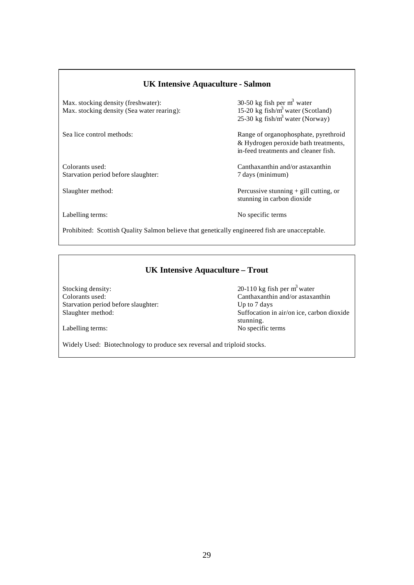# **UK Intensive Aquaculture - Salmon**

Max. stocking density (freshwater):  $30-50$  kg fish per m<sup>3</sup> water<br>Max. stocking density (Sea water rearing):  $15-20$  kg fish/m<sup>3</sup> water (Scotland) Max. stocking density (Sea water rearing):

Colorants used: Canthaxanthin and/or astaxanthin Starvation period before slaughter: 7 days (minimum)

30-50 kg fish per  $m<sup>3</sup>$  water 25-30 kg fish/ $m<sup>3</sup>$  water (Norway)

Sea lice control methods: Range of organophosphate, pyrethroid & Hydrogen peroxide bath treatments, in-feed treatments and cleaner fish.

Slaughter method: Percussive stunning + gill cutting, or stunning in carbon dioxide

Labelling terms: No specific terms

Prohibited: Scottish Quality Salmon believe that genetically engineered fish are unacceptable.

# **UK Intensive Aquaculture – Trout**

Stocking density:  $20-110 \text{ kg fish per m}^3$  water Colorants used: Canthaxanthin and/or astaxanthin Starvation period before slaughter: Up to 7 days

Slaughter method: Suffocation in air/on ice, carbon dioxide stunning. Labelling terms: No specific terms

Widely Used: Biotechnology to produce sex reversal and triploid stocks.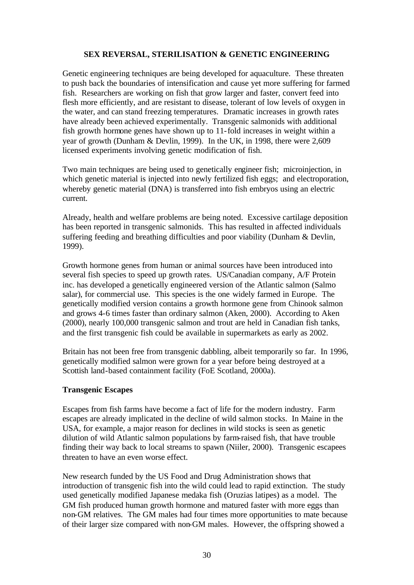#### **SEX REVERSAL, STERILISATION & GENETIC ENGINEERING**

Genetic engineering techniques are being developed for aquaculture. These threaten to push back the boundaries of intensification and cause yet more suffering for farmed fish. Researchers are working on fish that grow larger and faster, convert feed into flesh more efficiently, and are resistant to disease, tolerant of low levels of oxygen in the water, and can stand freezing temperatures. Dramatic increases in growth rates have already been achieved experimentally. Transgenic salmonids with additional fish growth hormone genes have shown up to 11-fold increases in weight within a year of growth (Dunham & Devlin, 1999). In the UK, in 1998, there were 2,609 licensed experiments involving genetic modification of fish.

Two main techniques are being used to genetically engineer fish; microinjection, in which genetic material is injected into newly fertilized fish eggs; and electroporation, whereby genetic material (DNA) is transferred into fish embryos using an electric current.

Already, health and welfare problems are being noted. Excessive cartilage deposition has been reported in transgenic salmonids. This has resulted in affected individuals suffering feeding and breathing difficulties and poor viability (Dunham & Devlin, 1999).

Growth hormone genes from human or animal sources have been introduced into several fish species to speed up growth rates. US/Canadian company, A/F Protein inc. has developed a genetically engineered version of the Atlantic salmon (Salmo salar), for commercial use. This species is the one widely farmed in Europe. The genetically modified version contains a growth hormone gene from Chinook salmon and grows 4-6 times faster than ordinary salmon (Aken, 2000). According to Aken (2000), nearly 100,000 transgenic salmon and trout are held in Canadian fish tanks, and the first transgenic fish could be available in supermarkets as early as 2002.

Britain has not been free from transgenic dabbling, albeit temporarily so far. In 1996, genetically modified salmon were grown for a year before being destroyed at a Scottish land-based containment facility (FoE Scotland, 2000a).

#### **Transgenic Escapes**

Escapes from fish farms have become a fact of life for the modern industry. Farm escapes are already implicated in the decline of wild salmon stocks. In Maine in the USA, for example, a major reason for declines in wild stocks is seen as genetic dilution of wild Atlantic salmon populations by farm-raised fish, that have trouble finding their way back to local streams to spawn (Niiler, 2000). Transgenic escapees threaten to have an even worse effect.

New research funded by the US Food and Drug Administration shows that introduction of transgenic fish into the wild could lead to rapid extinction. The study used genetically modified Japanese medaka fish (Oruzias latipes) as a model. The GM fish produced human growth hormone and matured faster with more eggs than non-GM relatives. The GM males had four times more opportunities to mate because of their larger size compared with non-GM males. However, the offspring showed a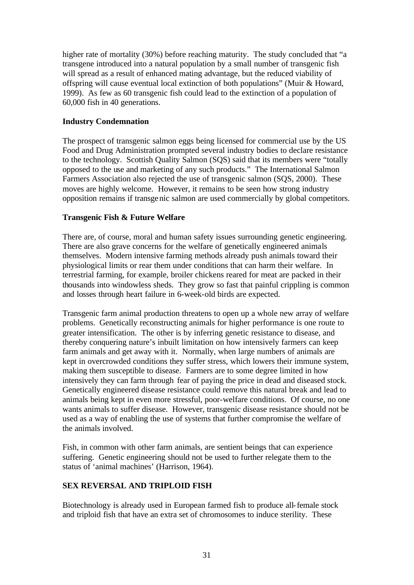higher rate of mortality (30%) before reaching maturity. The study concluded that "a transgene introduced into a natural population by a small number of transgenic fish will spread as a result of enhanced mating advantage, but the reduced viability of offspring will cause eventual local extinction of both populations" (Muir & Howard, 1999). As few as 60 transgenic fish could lead to the extinction of a population of 60,000 fish in 40 generations.

# **Industry Condemnation**

The prospect of transgenic salmon eggs being licensed for commercial use by the US Food and Drug Administration prompted several industry bodies to declare resistance to the technology. Scottish Quality Salmon (SQS) said that its members were "totally opposed to the use and marketing of any such products." The International Salmon Farmers Association also rejected the use of transgenic salmon (SQS, 2000). These moves are highly welcome. However, it remains to be seen how strong industry opposition remains if transgenic salmon are used commercially by global competitors.

# **Transgenic Fish & Future Welfare**

There are, of course, moral and human safety issues surrounding genetic engineering. There are also grave concerns for the welfare of genetically engineered animals themselves. Modern intensive farming methods already push animals toward their physiological limits or rear them under conditions that can harm their welfare. In terrestrial farming, for example, broiler chickens reared for meat are packed in their thousands into windowless sheds. They grow so fast that painful crippling is common and losses through heart failure in 6-week-old birds are expected.

Transgenic farm animal production threatens to open up a whole new array of welfare problems. Genetically reconstructing animals for higher performance is one route to greater intensification. The other is by inferring genetic resistance to disease, and thereby conquering nature's inbuilt limitation on how intensively farmers can keep farm animals and get away with it. Normally, when large numbers of animals are kept in overcrowded conditions they suffer stress, which lowers their immune system, making them susceptible to disease. Farmers are to some degree limited in how intensively they can farm through fear of paying the price in dead and diseased stock. Genetically engineered disease resistance could remove this natural break and lead to animals being kept in even more stressful, poor-welfare conditions. Of course, no one wants animals to suffer disease. However, transgenic disease resistance should not be used as a way of enabling the use of systems that further compromise the welfare of the animals involved.

Fish, in common with other farm animals, are sentient beings that can experience suffering. Genetic engineering should not be used to further relegate them to the status of 'animal machines' (Harrison, 1964).

# **SEX REVERSAL AND TRIPLOID FISH**

Biotechnology is already used in European farmed fish to produce all-female stock and triploid fish that have an extra set of chromosomes to induce sterility. These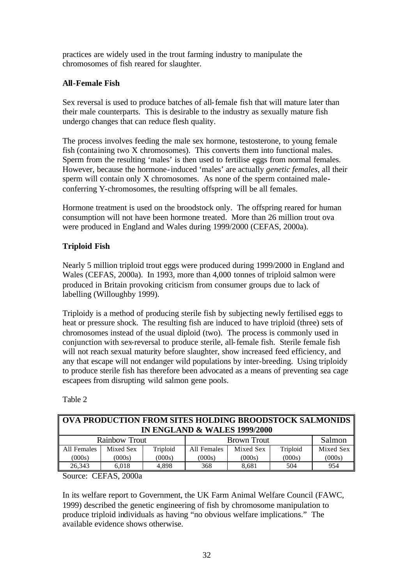practices are widely used in the trout farming industry to manipulate the chromosomes of fish reared for slaughter.

# **All-Female Fish**

Sex reversal is used to produce batches of all-female fish that will mature later than their male counterparts. This is desirable to the industry as sexually mature fish undergo changes that can reduce flesh quality.

The process involves feeding the male sex hormone, testosterone, to young female fish (containing two X chromosomes). This converts them into functional males. Sperm from the resulting 'males' is then used to fertilise eggs from normal females. However, because the hormone-induced 'males' are actually *genetic females*, all their sperm will contain only X chromosomes. As none of the sperm contained maleconferring Y-chromosomes, the resulting offspring will be all females.

Hormone treatment is used on the broodstock only. The offspring reared for human consumption will not have been hormone treated. More than 26 million trout ova were produced in England and Wales during 1999/2000 (CEFAS, 2000a).

# **Triploid Fish**

Nearly 5 million triploid trout eggs were produced during 1999/2000 in England and Wales (CEFAS, 2000a). In 1993, more than 4,000 tonnes of triploid salmon were produced in Britain provoking criticism from consumer groups due to lack of labelling (Willoughby 1999).

Triploidy is a method of producing sterile fish by subjecting newly fertilised eggs to heat or pressure shock. The resulting fish are induced to have triploid (three) sets of chromosomes instead of the usual diploid (two). The process is commonly used in conjunction with sex-reversal to produce sterile, all-female fish. Sterile female fish will not reach sexual maturity before slaughter, show increased feed efficiency, and any that escape will not endanger wild populations by inter-breeding. Using triploidy to produce sterile fish has therefore been advocated as a means of preventing sea cage escapees from disrupting wild salmon gene pools.

| <b>   OVA PRODUCTION FROM SITES HOLDING BROODSTOCK SALMONIDS</b> |                                         |          |                    |           |          |           |
|------------------------------------------------------------------|-----------------------------------------|----------|--------------------|-----------|----------|-----------|
|                                                                  | <b>IN ENGLAND &amp; WALES 1999/2000</b> |          |                    |           |          |           |
| <b>Rainbow Trout</b>                                             |                                         |          | <b>Brown Trout</b> |           |          | Salmon    |
| All Females                                                      | Mixed Sex                               | Triploid | All Females        | Mixed Sex | Triploid | Mixed Sex |
| (000s)                                                           | (000s)                                  | (000s)   | (000s)             | (000s)    | (000s)   | (000s)    |
| 26,343                                                           | 6,018                                   | 4.898    | 368                | 8,681     | 504      | 954       |

Table 2

Source: CEFAS, 2000a

In its welfare report to Government, the UK Farm Animal Welfare Council (FAWC, 1999) described the genetic engineering of fish by chromosome manipulation to produce triploid individuals as having "no obvious welfare implications." The available evidence shows otherwise.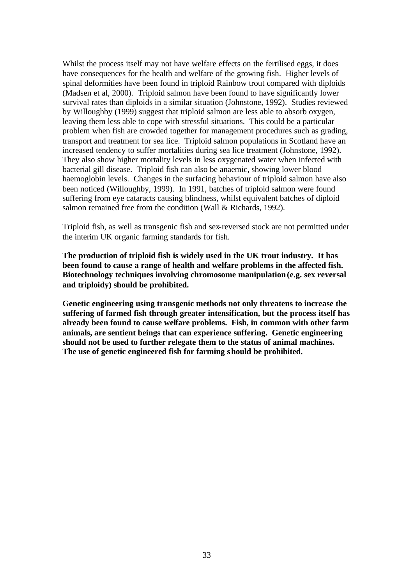Whilst the process itself may not have welfare effects on the fertilised eggs, it does have consequences for the health and welfare of the growing fish. Higher levels of spinal deformities have been found in triploid Rainbow trout compared with diploids (Madsen et al, 2000). Triploid salmon have been found to have significantly lower survival rates than diploids in a similar situation (Johnstone, 1992). Studies reviewed by Willoughby (1999) suggest that triploid salmon are less able to absorb oxygen, leaving them less able to cope with stressful situations. This could be a particular problem when fish are crowded together for management procedures such as grading, transport and treatment for sea lice. Triploid salmon populations in Scotland have an increased tendency to suffer mortalities during sea lice treatment (Johnstone, 1992). They also show higher mortality levels in less oxygenated water when infected with bacterial gill disease. Triploid fish can also be anaemic, showing lower blood haemoglobin levels. Changes in the surfacing behaviour of triploid salmon have also been noticed (Willoughby, 1999). In 1991, batches of triploid salmon were found suffering from eye cataracts causing blindness, whilst equivalent batches of diploid salmon remained free from the condition (Wall & Richards, 1992).

Triploid fish, as well as transgenic fish and sex-reversed stock are not permitted under the interim UK organic farming standards for fish.

**The production of triploid fish is widely used in the UK trout industry. It has been found to cause a range of health and welfare problems in the affected fish. Biotechnology techniques involving chromosome manipulation (e.g. sex reversal and triploidy) should be prohibited.** 

**Genetic engineering using transgenic methods not only threatens to increase the suffering of farmed fish through greater intensification, but the process itself has already been found to cause welfare problems. Fish, in common with other farm animals, are sentient beings that can experience suffering. Genetic engineering should not be used to further relegate them to the status of animal machines. The use of genetic engineered fish for farming should be prohibited.**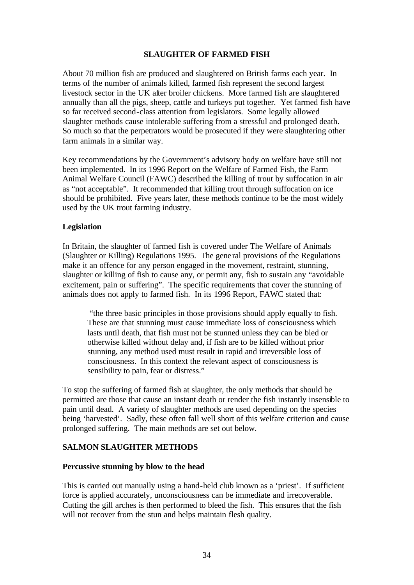#### **SLAUGHTER OF FARMED FISH**

About 70 million fish are produced and slaughtered on British farms each year. In terms of the number of animals killed, farmed fish represent the second largest livestock sector in the UK after broiler chickens. More farmed fish are slaughtered annually than all the pigs, sheep, cattle and turkeys put together. Yet farmed fish have so far received second-class attention from legislators. Some legally allowed slaughter methods cause intolerable suffering from a stressful and prolonged death. So much so that the perpetrators would be prosecuted if they were slaughtering other farm animals in a similar way.

Key recommendations by the Government's advisory body on welfare have still not been implemented. In its 1996 Report on the Welfare of Farmed Fish, the Farm Animal Welfare Council (FAWC) described the killing of trout by suffocation in air as "not acceptable". It recommended that killing trout through suffocation on ice should be prohibited. Five years later, these methods continue to be the most widely used by the UK trout farming industry.

#### **Legislation**

In Britain, the slaughter of farmed fish is covered under The Welfare of Animals (Slaughter or Killing) Regulations 1995. The gene ral provisions of the Regulations make it an offence for any person engaged in the movement, restraint, stunning, slaughter or killing of fish to cause any, or permit any, fish to sustain any "avoidable excitement, pain or suffering". The specific requirements that cover the stunning of animals does not apply to farmed fish. In its 1996 Report, FAWC stated that:

"the three basic principles in those provisions should apply equally to fish. These are that stunning must cause immediate loss of consciousness which lasts until death, that fish must not be stunned unless they can be bled or otherwise killed without delay and, if fish are to be killed without prior stunning, any method used must result in rapid and irreversible loss of consciousness. In this context the relevant aspect of consciousness is sensibility to pain, fear or distress."

To stop the suffering of farmed fish at slaughter, the only methods that should be permitted are those that cause an instant death or render the fish instantly insensible to pain until dead. A variety of slaughter methods are used depending on the species being 'harvested'. Sadly, these often fall well short of this welfare criterion and cause prolonged suffering. The main methods are set out below.

# **SALMON SLAUGHTER METHODS**

#### **Percussive stunning by blow to the head**

This is carried out manually using a hand-held club known as a 'priest'. If sufficient force is applied accurately, unconsciousness can be immediate and irrecoverable. Cutting the gill arches is then performed to bleed the fish. This ensures that the fish will not recover from the stun and helps maintain flesh quality.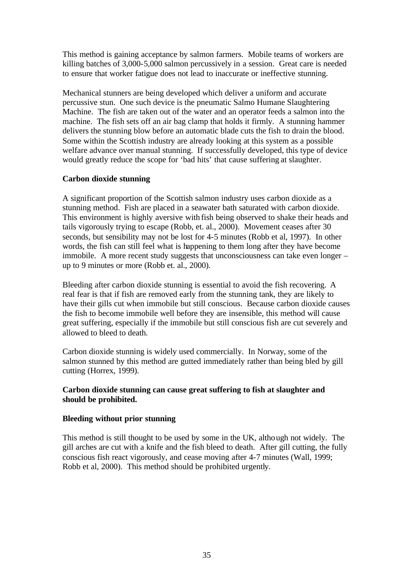This method is gaining acceptance by salmon farmers. Mobile teams of workers are killing batches of 3,000-5,000 salmon percussively in a session. Great care is needed to ensure that worker fatigue does not lead to inaccurate or ineffective stunning.

Mechanical stunners are being developed which deliver a uniform and accurate percussive stun. One such device is the pneumatic Salmo Humane Slaughtering Machine. The fish are taken out of the water and an operator feeds a salmon into the machine. The fish sets off an air bag clamp that holds it firmly. A stunning hammer delivers the stunning blow before an automatic blade cuts the fish to drain the blood. Some within the Scottish industry are already looking at this system as a possible welfare advance over manual stunning. If successfully developed, this type of device would greatly reduce the scope for 'bad hits' that cause suffering at slaughter.

# **Carbon dioxide stunning**

A significant proportion of the Scottish salmon industry uses carbon dioxide as a stunning method. Fish are placed in a seawater bath saturated with carbon dioxide. This environment is highly aversive with fish being observed to shake their heads and tails vigorously trying to escape (Robb, et. al., 2000). Movement ceases after 30 seconds, but sensibility may not be lost for 4-5 minutes (Robb et al, 1997). In other words, the fish can still feel what is happening to them long after they have become immobile. A more recent study suggests that unconsciousness can take even longer – up to 9 minutes or more (Robb et. al., 2000).

Bleeding after carbon dioxide stunning is essential to avoid the fish recovering. A real fear is that if fish are removed early from the stunning tank, they are likely to have their gills cut when immobile but still conscious. Because carbon dioxide causes the fish to become immobile well before they are insensible, this method will cause great suffering, especially if the immobile but still conscious fish are cut severely and allowed to bleed to death.

Carbon dioxide stunning is widely used commercially. In Norway, some of the salmon stunned by this method are gutted immediately rather than being bled by gill cutting (Horrex, 1999).

# **Carbon dioxide stunning can cause great suffering to fish at slaughter and should be prohibited.**

#### **Bleeding without prior stunning**

This method is still thought to be used by some in the UK, although not widely. The gill arches are cut with a knife and the fish bleed to death. After gill cutting, the fully conscious fish react vigorously, and cease moving after 4-7 minutes (Wall, 1999; Robb et al, 2000). This method should be prohibited urgently.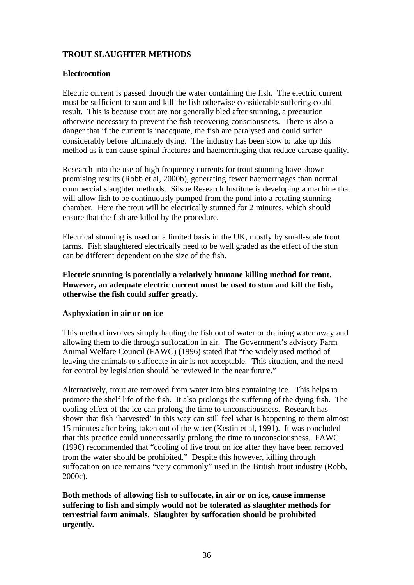# **TROUT SLAUGHTER METHODS**

#### **Electrocution**

Electric current is passed through the water containing the fish. The electric current must be sufficient to stun and kill the fish otherwise considerable suffering could result. This is because trout are not generally bled after stunning, a precaution otherwise necessary to prevent the fish recovering consciousness. There is also a danger that if the current is inadequate, the fish are paralysed and could suffer considerably before ultimately dying. The industry has been slow to take up this method as it can cause spinal fractures and haemorrhaging that reduce carcase quality.

Research into the use of high frequency currents for trout stunning have shown promising results (Robb et al, 2000b), generating fewer haemorrhages than normal commercial slaughter methods. Silsoe Research Institute is developing a machine that will allow fish to be continuously pumped from the pond into a rotating stunning chamber. Here the trout will be electrically stunned for 2 minutes, which should ensure that the fish are killed by the procedure.

Electrical stunning is used on a limited basis in the UK, mostly by small-scale trout farms. Fish slaughtered electrically need to be well graded as the effect of the stun can be different dependent on the size of the fish.

**Electric stunning is potentially a relatively humane killing method for trout. However, an adequate electric current must be used to stun and kill the fish, otherwise the fish could suffer greatly.** 

#### **Asphyxiation in air or on ice**

This method involves simply hauling the fish out of water or draining water away and allowing them to die through suffocation in air. The Government's advisory Farm Animal Welfare Council (FAWC) (1996) stated that "the widely used method of leaving the animals to suffocate in air is not acceptable. This situation, and the need for control by legislation should be reviewed in the near future."

Alternatively, trout are removed from water into bins containing ice. This helps to promote the shelf life of the fish. It also prolongs the suffering of the dying fish. The cooling effect of the ice can prolong the time to unconsciousness. Research has shown that fish 'harvested' in this way can still feel what is happening to them almost 15 minutes after being taken out of the water (Kestin et al, 1991). It was concluded that this practice could unnecessarily prolong the time to unconsciousness. FAWC (1996) recommended that "cooling of live trout on ice after they have been removed from the water should be prohibited." Despite this however, killing through suffocation on ice remains "very commonly" used in the British trout industry (Robb, 2000c).

**Both methods of allowing fish to suffocate, in air or on ice, cause immense suffering to fish and simply would not be tolerated as slaughter methods for terrestrial farm animals. Slaughter by suffocation should be prohibited urgently.**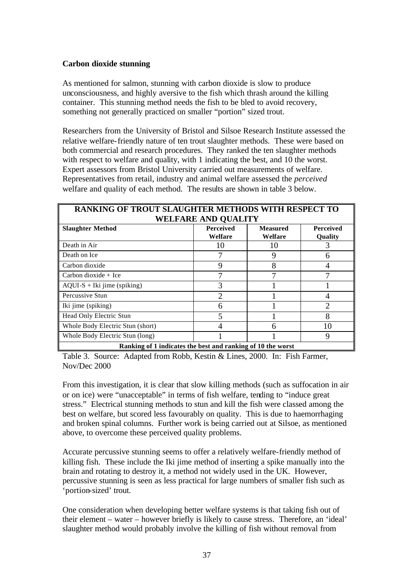# **Carbon dioxide stunning**

As mentioned for salmon, stunning with carbon dioxide is slow to produce unconsciousness, and highly aversive to the fish which thrash around the killing container. This stunning method needs the fish to be bled to avoid recovery, something not generally practiced on smaller "portion" sized trout.

Researchers from the University of Bristol and Silsoe Research Institute assessed the relative welfare-friendly nature of ten trout slaughter methods. These were based on both commercial and research procedures. They ranked the ten slaughter methods with respect to welfare and quality, with 1 indicating the best, and 10 the worst. Expert assessors from Bristol University carried out measurements of welfare. Representatives from retail, industry and animal welfare assessed the *perceived* welfare and quality of each method. The results are shown in table 3 below.

# **RANKING OF TROUT SLAUGHTER METHODS WITH RESPECT TO WELFARE AND QUALITY**

|                                                             | WELFANE ARD QUALITI         |                            |                                    |  |
|-------------------------------------------------------------|-----------------------------|----------------------------|------------------------------------|--|
| <b>Slaughter Method</b>                                     | <b>Perceived</b><br>Welfare | <b>Measured</b><br>Welfare | <b>Perceived</b><br><b>Quality</b> |  |
| Death in Air                                                | 10                          | 10                         |                                    |  |
| Death on Ice                                                |                             |                            | 6                                  |  |
| Carbon dioxide                                              | 9                           | 8                          | 4                                  |  |
| Carbon dioxide $+$ Ice                                      |                             |                            |                                    |  |
| $AQUI-S + Iki$ jime (spiking)                               | 3                           |                            |                                    |  |
| Percussive Stun                                             | 2                           |                            | 4                                  |  |
| Iki jime (spiking)                                          | 6                           |                            | $\overline{2}$                     |  |
| Head Only Electric Stun                                     | 5                           |                            | 8                                  |  |
| Whole Body Electric Stun (short)                            | 4                           | 6                          | 10                                 |  |
| Whole Body Electric Stun (long)                             |                             |                            | 9                                  |  |
| Ranking of 1 indicates the best and ranking of 10 the worst |                             |                            |                                    |  |

Table 3. Source: Adapted from Robb, Kestin & Lines, 2000. In: Fish Farmer, Nov/Dec 2000

From this investigation, it is clear that slow killing methods (such as suffocation in air or on ice) were "unacceptable" in terms of fish welfare, tending to "induce great stress." Electrical stunning methods to stun and kill the fish were classed among the best on welfare, but scored less favourably on quality. This is due to haemorrhaging and broken spinal columns. Further work is being carried out at Silsoe, as mentioned above, to overcome these perceived quality problems.

Accurate percussive stunning seems to offer a relatively welfare-friendly method of killing fish. These include the Iki jime method of inserting a spike manually into the brain and rotating to destroy it, a method not widely used in the UK. However, percussive stunning is seen as less practical for large numbers of smaller fish such as 'portion-sized' trout.

One consideration when developing better welfare systems is that taking fish out of their element – water – however briefly is likely to cause stress. Therefore, an 'ideal' slaughter method would probably involve the killing of fish without removal from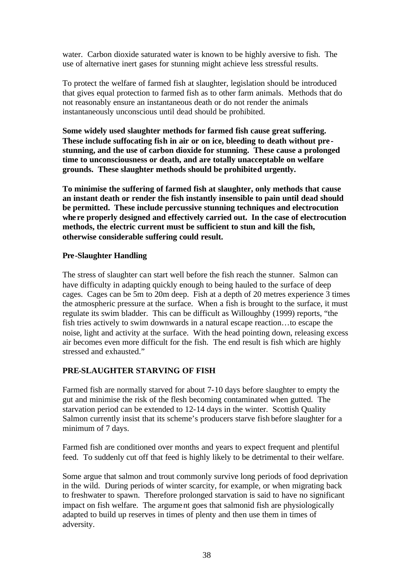water. Carbon dioxide saturated water is known to be highly aversive to fish. The use of alternative inert gases for stunning might achieve less stressful results.

To protect the welfare of farmed fish at slaughter, legislation should be introduced that gives equal protection to farmed fish as to other farm animals. Methods that do not reasonably ensure an instantaneous death or do not render the animals instantaneously unconscious until dead should be prohibited.

**Some widely used slaughter methods for farmed fish cause great suffering. These include suffocating fish in air or on ice, bleeding to death without pre stunning, and the use of carbon dioxide for stunning. These cause a prolonged time to unconsciousness or death, and are totally unacceptable on welfare grounds. These slaughter methods should be prohibited urgently.**

**To minimise the suffering of farmed fish at slaughter, only methods that cause an instant death or render the fish instantly insensible to pain until dead should be permitted. These include percussive stunning techniques and electrocution whe re properly designed and effectively carried out. In the case of electrocution methods, the electric current must be sufficient to stun and kill the fish, otherwise considerable suffering could result.** 

#### **Pre-Slaughter Handling**

The stress of slaughter can start well before the fish reach the stunner. Salmon can have difficulty in adapting quickly enough to being hauled to the surface of deep cages. Cages can be 5m to 20m deep. Fish at a depth of 20 metres experience 3 times the atmospheric pressure at the surface. When a fish is brought to the surface, it must regulate its swim bladder. This can be difficult as Willoughby (1999) reports, "the fish tries actively to swim downwards in a natural escape reaction…to escape the noise, light and activity at the surface. With the head pointing down, releasing excess air becomes even more difficult for the fish. The end result is fish which are highly stressed and exhausted."

# **PRE-SLAUGHTER STARVING OF FISH**

Farmed fish are normally starved for about 7-10 days before slaughter to empty the gut and minimise the risk of the flesh becoming contaminated when gutted. The starvation period can be extended to 12-14 days in the winter. Scottish Quality Salmon currently insist that its scheme's producers starve fish before slaughter for a minimum of 7 days.

Farmed fish are conditioned over months and years to expect frequent and plentiful feed. To suddenly cut off that feed is highly likely to be detrimental to their welfare.

Some argue that salmon and trout commonly survive long periods of food deprivation in the wild. During periods of winter scarcity, for example, or when migrating back to freshwater to spawn. Therefore prolonged starvation is said to have no significant impact on fish welfare. The argument goes that salmonid fish are physiologically adapted to build up reserves in times of plenty and then use them in times of adversity.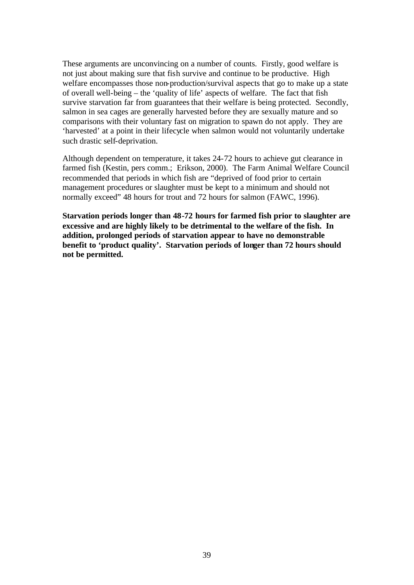These arguments are unconvincing on a number of counts. Firstly, good welfare is not just about making sure that fish survive and continue to be productive. High welfare encompasses those non-production/survival aspects that go to make up a state of overall well-being – the 'quality of life' aspects of welfare. The fact that fish survive starvation far from guarantees that their welfare is being protected. Secondly, salmon in sea cages are generally harvested before they are sexually mature and so comparisons with their voluntary fast on migration to spawn do not apply. They are 'harvested' at a point in their lifecycle when salmon would not voluntarily undertake such drastic self-deprivation.

Although dependent on temperature, it takes 24-72 hours to achieve gut clearance in farmed fish (Kestin, pers comm.; Erikson, 2000). The Farm Animal Welfare Council recommended that periods in which fish are "deprived of food prior to certain management procedures or slaughter must be kept to a minimum and should not normally exceed" 48 hours for trout and 72 hours for salmon (FAWC, 1996).

**Starvation periods longer than 48-72 hours for farmed fish prior to slaughter are excessive and are highly likely to be detrimental to the welfare of the fish. In addition, prolonged periods of starvation appear to have no demonstrable benefit to 'product quality'. Starvation periods of longer than 72 hours should not be permitted.**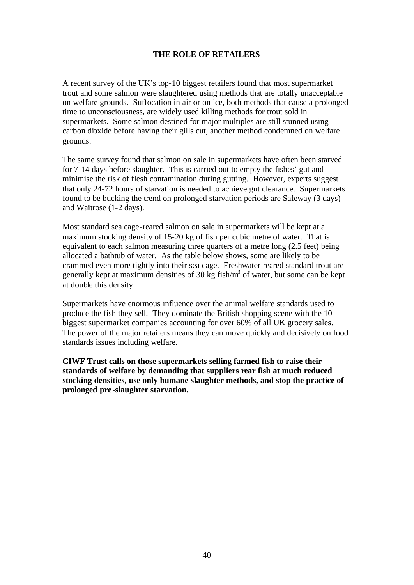#### **THE ROLE OF RETAILERS**

A recent survey of the UK's top-10 biggest retailers found that most supermarket trout and some salmon were slaughtered using methods that are totally unacceptable on welfare grounds. Suffocation in air or on ice, both methods that cause a prolonged time to unconsciousness, are widely used killing methods for trout sold in supermarkets. Some salmon destined for major multiples are still stunned using carbon dioxide before having their gills cut, another method condemned on welfare grounds.

The same survey found that salmon on sale in supermarkets have often been starved for 7-14 days before slaughter. This is carried out to empty the fishes' gut and minimise the risk of flesh contamination during gutting. However, experts suggest that only 24-72 hours of starvation is needed to achieve gut clearance. Supermarkets found to be bucking the trend on prolonged starvation periods are Safeway (3 days) and Waitrose (1-2 days).

Most standard sea cage-reared salmon on sale in supermarkets will be kept at a maximum stocking density of 15-20 kg of fish per cubic metre of water. That is equivalent to each salmon measuring three quarters of a metre long (2.5 feet) being allocated a bathtub of water. As the table below shows, some are likely to be crammed even more tightly into their sea cage. Freshwater-reared standard trout are generally kept at maximum densities of 30 kg fish/ $m<sup>3</sup>$  of water, but some can be kept at double this density.

Supermarkets have enormous influence over the animal welfare standards used to produce the fish they sell. They dominate the British shopping scene with the 10 biggest supermarket companies accounting for over 60% of all UK grocery sales. The power of the major retailers means they can move quickly and decisively on food standards issues including welfare.

**CIWF Trust calls on those supermarkets selling farmed fish to raise their standards of welfare by demanding that suppliers rear fish at much reduced stocking densities, use only humane slaughter methods, and stop the practice of prolonged pre-slaughter starvation.**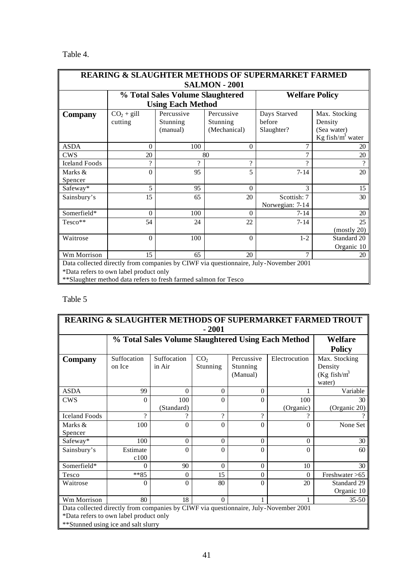# Table 4.

| <b>REARING &amp; SLAUGHTER METHODS OF SUPERMARKET FARMED</b>                         |                      |                                  |                          |                       |                      |  |  |
|--------------------------------------------------------------------------------------|----------------------|----------------------------------|--------------------------|-----------------------|----------------------|--|--|
|                                                                                      | <b>SALMON - 2001</b> |                                  |                          |                       |                      |  |  |
|                                                                                      |                      | % Total Sales Volume Slaughtered |                          | <b>Welfare Policy</b> |                      |  |  |
|                                                                                      |                      | <b>Using Each Method</b>         |                          |                       |                      |  |  |
| <b>Company</b>                                                                       | $CO2 + gill$         | Percussive                       | Percussive               | Days Starved          | Max. Stocking        |  |  |
|                                                                                      | cutting              | Stunning                         | Stunning                 | before                | Density              |  |  |
|                                                                                      |                      | (manual)                         | (Mechanical)             | Slaughter?            | (Sea water)          |  |  |
|                                                                                      |                      |                                  |                          |                       | Kg fish/ $m^3$ water |  |  |
| <b>ASDA</b>                                                                          | $\Omega$             | 100                              | $\overline{0}$           | $\tau$                | 20                   |  |  |
| <b>CWS</b>                                                                           | 20                   |                                  | 80                       |                       | 20                   |  |  |
| <b>Iceland Foods</b>                                                                 | ?                    | $\mathcal{P}$                    | $\overline{\mathcal{C}}$ | $\gamma$              | $\Omega$             |  |  |
| Marks &                                                                              | $\overline{0}$       | 95                               | 5                        | $7 - 14$              | 20                   |  |  |
| Spencer                                                                              |                      |                                  |                          |                       |                      |  |  |
| Safeway*                                                                             | 5                    | 95                               | $\Omega$                 | 3                     | 15                   |  |  |
| Sainsbury's                                                                          | 15                   | 65                               | 20                       | Scottish: 7           | 30                   |  |  |
|                                                                                      |                      |                                  |                          | Norwegian: 7-14       |                      |  |  |
| Somerfield*                                                                          | $\theta$             | 100                              | $\Omega$                 | $7 - 14$              | 20                   |  |  |
| Tesco**                                                                              | 54                   | 24                               | 22                       | $7 - 14$              | 25                   |  |  |
|                                                                                      |                      |                                  |                          |                       | (mostly 20)          |  |  |
| Waitrose                                                                             | $\Omega$             | 100                              | $\Omega$                 | $1 - 2$               | Standard 20          |  |  |
|                                                                                      |                      |                                  |                          |                       | Organic 10           |  |  |
| Wm Morrison                                                                          | 15                   | 65                               | 20                       | 7                     | 20                   |  |  |
| Data collected directly from companies by CIWF via questionnaire, July-November 2001 |                      |                                  |                          |                       |                      |  |  |
| *Data refers to own label product only                                               |                      |                                  |                          |                       |                      |  |  |
| ** Slaughter method data refers to fresh farmed salmon for Tesco                     |                      |                                  |                          |                       |                      |  |  |

# Table 5

| <b>REARING &amp; SLAUGHTER METHODS OF SUPERMARKET FARMED TROUT</b><br>$-2001$                                                                                         |                       |                       |                             |                                    |                                                    |                                                       |
|-----------------------------------------------------------------------------------------------------------------------------------------------------------------------|-----------------------|-----------------------|-----------------------------|------------------------------------|----------------------------------------------------|-------------------------------------------------------|
|                                                                                                                                                                       |                       |                       |                             |                                    | % Total Sales Volume Slaughtered Using Each Method | Welfare<br><b>Policy</b>                              |
| <b>Company</b>                                                                                                                                                        | Suffocation<br>on Ice | Suffocation<br>in Air | CO <sub>2</sub><br>Stunning | Percussive<br>Stunning<br>(Manual) | Electrocution                                      | Max. Stocking<br>Density<br>$(Kg fish/m^3)$<br>water) |
| <b>ASDA</b>                                                                                                                                                           | 99                    | $\Omega$              | 0                           | $\theta$                           | 1                                                  | Variable                                              |
| <b>CWS</b>                                                                                                                                                            | $\Omega$              | 100<br>(Standard)     | $\theta$                    | 0                                  | 100<br>(Organic)                                   | 30<br>(Organic 20)                                    |
| <b>Iceland Foods</b>                                                                                                                                                  | $\mathcal{P}$         |                       | $\gamma$                    | $\mathcal{Q}$                      |                                                    |                                                       |
| Marks &<br>Spencer                                                                                                                                                    | 100                   | 0                     | 0                           | 0                                  | $\Omega$                                           | None Set                                              |
| Safeway*                                                                                                                                                              | 100                   | $\theta$              | $\Omega$                    | $\theta$                           | $\Omega$                                           | 30                                                    |
| Sainsbury's                                                                                                                                                           | Estimate<br>c100      | $\Omega$              | 0                           | 0                                  | $\Omega$                                           | 60                                                    |
| Somerfield*                                                                                                                                                           | 0                     | 90                    | $\theta$                    | $\theta$                           | 10                                                 | 30                                                    |
| Tesco                                                                                                                                                                 | $***85$               | 0                     | 15                          | 0                                  | $\Omega$                                           | Freshwater $>65$                                      |
| Waitrose                                                                                                                                                              | $\Omega$              | $\theta$              | 80                          | 0                                  | 20                                                 | Standard 29<br>Organic 10                             |
| Wm Morrison                                                                                                                                                           | 80                    | 18                    | $\Omega$                    |                                    |                                                    | $35 - 50$                                             |
| Data collected directly from companies by CIWF via questionnaire, July-November 2001<br>*Data refers to own label product only<br>**Stunned using ice and salt slurry |                       |                       |                             |                                    |                                                    |                                                       |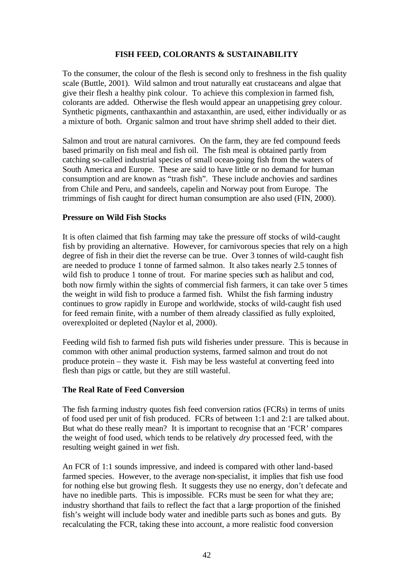### **FISH FEED, COLORANTS & SUSTAINABILITY**

To the consumer, the colour of the flesh is second only to freshness in the fish quality scale (Buttle, 2001). Wild salmon and trout naturally eat crustaceans and algae that give their flesh a healthy pink colour. To achieve this complexion in farmed fish, colorants are added. Otherwise the flesh would appear an unappetising grey colour. Synthetic pigments, canthaxanthin and astaxanthin, are used, either individually or as a mixture of both. Organic salmon and trout have shrimp shell added to their diet.

Salmon and trout are natural carnivores. On the farm, they are fed compound feeds based primarily on fish meal and fish oil. The fish meal is obtained partly from catching so-called industrial species of small ocean-going fish from the waters of South America and Europe. These are said to have little or no demand for human consumption and are known as "trash fish". These include anchovies and sardines from Chile and Peru, and sandeels, capelin and Norway pout from Europe. The trimmings of fish caught for direct human consumption are also used (FIN, 2000).

#### **Pressure on Wild Fish Stocks**

It is often claimed that fish farming may take the pressure off stocks of wild-caught fish by providing an alternative. However, for carnivorous species that rely on a high degree of fish in their diet the reverse can be true. Over 3 tonnes of wild-caught fish are needed to produce 1 tonne of farmed salmon. It also takes nearly 2.5 tonnes of wild fish to produce 1 tonne of trout. For marine species such as halibut and cod, both now firmly within the sights of commercial fish farmers, it can take over 5 times the weight in wild fish to produce a farmed fish. Whilst the fish farming industry continues to grow rapidly in Europe and worldwide, stocks of wild-caught fish used for feed remain finite, with a number of them already classified as fully exploited, overexploited or depleted (Naylor et al, 2000).

Feeding wild fish to farmed fish puts wild fisheries under pressure. This is because in common with other animal production systems, farmed salmon and trout do not produce protein – they waste it. Fish may be less wasteful at converting feed into flesh than pigs or cattle, but they are still wasteful.

#### **The Real Rate of Feed Conversion**

The fish farming industry quotes fish feed conversion ratios (FCRs) in terms of units of food used per unit of fish produced. FCRs of between 1:1 and 2:1 are talked about. But what do these really mean? It is important to recognise that an 'FCR' compares the weight of food used, which tends to be relatively *dry* processed feed, with the resulting weight gained in *wet* fish.

An FCR of 1:1 sounds impressive, and indeed is compared with other land-based farmed species. However, to the average non-specialist, it implies that fish use food for nothing else but growing flesh. It suggests they use no energy, don't defecate and have no inedible parts. This is impossible. FCRs must be seen for what they are; industry shorthand that fails to reflect the fact that a large proportion of the finished fish's weight will include body water and inedible parts such as bones and guts. By recalculating the FCR, taking these into account, a more realistic food conversion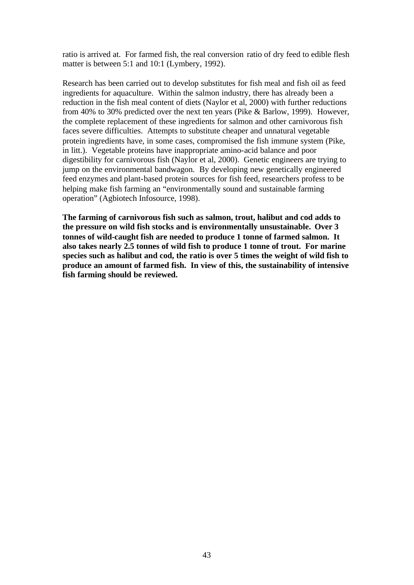ratio is arrived at. For farmed fish, the real conversion ratio of dry feed to edible flesh matter is between 5:1 and 10:1 (Lymbery, 1992).

Research has been carried out to develop substitutes for fish meal and fish oil as feed ingredients for aquaculture. Within the salmon industry, there has already been a reduction in the fish meal content of diets (Naylor et al, 2000) with further reductions from 40% to 30% predicted over the next ten years (Pike & Barlow, 1999). However, the complete replacement of these ingredients for salmon and other carnivorous fish faces severe difficulties. Attempts to substitute cheaper and unnatural vegetable protein ingredients have, in some cases, compromised the fish immune system (Pike, in litt.). Vegetable proteins have inappropriate amino-acid balance and poor digestibility for carnivorous fish (Naylor et al, 2000). Genetic engineers are trying to jump on the environmental bandwagon. By developing new genetically engineered feed enzymes and plant-based protein sources for fish feed, researchers profess to be helping make fish farming an "environmentally sound and sustainable farming operation" (Agbiotech Infosource, 1998).

**The farming of carnivorous fish such as salmon, trout, halibut and cod adds to the pressure on wild fish stocks and is environmentally unsustainable. Over 3 tonnes of wild-caught fish are needed to produce 1 tonne of farmed salmon. It also takes nearly 2.5 tonnes of wild fish to produce 1 tonne of trout. For marine species such as halibut and cod, the ratio is over 5 times the weight of wild fish to produce an amount of farmed fish. In view of this, the sustainability of intensive fish farming should be reviewed.**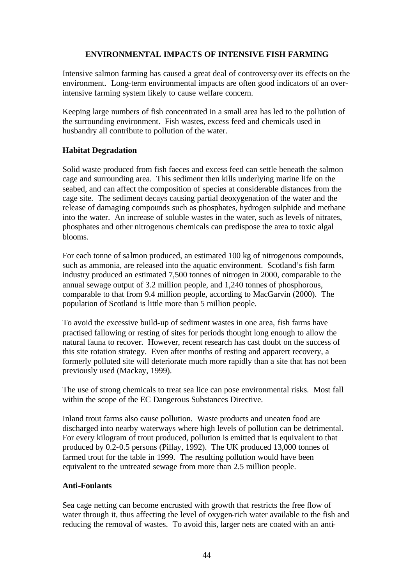# **ENVIRONMENTAL IMPACTS OF INTENSIVE FISH FARMING**

Intensive salmon farming has caused a great deal of controversy over its effects on the environment. Long-term environmental impacts are often good indicators of an overintensive farming system likely to cause welfare concern.

Keeping large numbers of fish concentrated in a small area has led to the pollution of the surrounding environment. Fish wastes, excess feed and chemicals used in husbandry all contribute to pollution of the water.

# **Habitat Degradation**

Solid waste produced from fish faeces and excess feed can settle beneath the salmon cage and surrounding area. This sediment then kills underlying marine life on the seabed, and can affect the composition of species at considerable distances from the cage site. The sediment decays causing partial deoxygenation of the water and the release of damaging compounds such as phosphates, hydrogen sulphide and methane into the water. An increase of soluble wastes in the water, such as levels of nitrates, phosphates and other nitrogenous chemicals can predispose the area to toxic algal blooms.

For each tonne of salmon produced, an estimated 100 kg of nitrogenous compounds, such as ammonia, are released into the aquatic environment. Scotland's fish farm industry produced an estimated 7,500 tonnes of nitrogen in 2000, comparable to the annual sewage output of 3.2 million people, and 1,240 tonnes of phosphorous, comparable to that from 9.4 million people, according to MacGarvin (2000). The population of Scotland is little more than 5 million people.

To avoid the excessive build-up of sediment wastes in one area, fish farms have practised fallowing or resting of sites for periods thought long enough to allow the natural fauna to recover. However, recent research has cast doubt on the success of this site rotation strategy. Even after months of resting and apparent recovery, a formerly polluted site will deteriorate much more rapidly than a site that has not been previously used (Mackay, 1999).

The use of strong chemicals to treat sea lice can pose environmental risks. Most fall within the scope of the EC Dangerous Substances Directive.

Inland trout farms also cause pollution. Waste products and uneaten food are discharged into nearby waterways where high levels of pollution can be detrimental. For every kilogram of trout produced, pollution is emitted that is equivalent to that produced by 0.2-0.5 persons (Pillay, 1992). The UK produced 13,000 tonnes of farmed trout for the table in 1999. The resulting pollution would have been equivalent to the untreated sewage from more than 2.5 million people.

# **Anti-Foulants**

Sea cage netting can become encrusted with growth that restricts the free flow of water through it, thus affecting the level of oxygen-rich water available to the fish and reducing the removal of wastes. To avoid this, larger nets are coated with an anti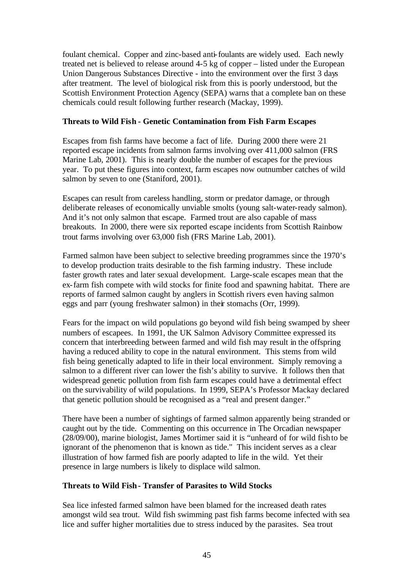foulant chemical. Copper and zinc-based anti-foulants are widely used. Each newly treated net is believed to release around 4-5 kg of copper – listed under the European Union Dangerous Substances Directive - into the environment over the first 3 days after treatment. The level of biological risk from this is poorly understood, but the Scottish Environment Protection Agency (SEPA) warns that a complete ban on these chemicals could result following further research (Mackay, 1999).

# **Threats to Wild Fish - Genetic Contamination from Fish Farm Escapes**

Escapes from fish farms have become a fact of life. During 2000 there were 21 reported escape incidents from salmon farms involving over 411,000 salmon (FRS Marine Lab, 2001). This is nearly double the number of escapes for the previous year. To put these figures into context, farm escapes now outnumber catches of wild salmon by seven to one (Staniford, 2001).

Escapes can result from careless handling, storm or predator damage, or through deliberate releases of economically unviable smolts (young salt-water-ready salmon). And it's not only salmon that escape. Farmed trout are also capable of mass breakouts. In 2000, there were six reported escape incidents from Scottish Rainbow trout farms involving over 63,000 fish (FRS Marine Lab, 2001).

Farmed salmon have been subject to selective breeding programmes since the 1970's to develop production traits desirable to the fish farming industry. These include faster growth rates and later sexual development. Large-scale escapes mean that the ex-farm fish compete with wild stocks for finite food and spawning habitat. There are reports of farmed salmon caught by anglers in Scottish rivers even having salmon eggs and parr (young freshwater salmon) in their stomachs (Orr, 1999).

Fears for the impact on wild populations go beyond wild fish being swamped by sheer numbers of escapees. In 1991, the UK Salmon Advisory Committee expressed its concern that interbreeding between farmed and wild fish may result in the offspring having a reduced ability to cope in the natural environment. This stems from wild fish being genetically adapted to life in their local environment. Simply removing a salmon to a different river can lower the fish's ability to survive. It follows then that widespread genetic pollution from fish farm escapes could have a detrimental effect on the survivability of wild populations. In 1999, SEPA's Professor Mackay declared that genetic pollution should be recognised as a "real and present danger."

There have been a number of sightings of farmed salmon apparently being stranded or caught out by the tide. Commenting on this occurrence in The Orcadian newspaper (28/09/00), marine biologist, James Mortimer said it is "unheard of for wild fish to be ignorant of the phenomenon that is known as tide." This incident serves as a clear illustration of how farmed fish are poorly adapted to life in the wild. Yet their presence in large numbers is likely to displace wild salmon.

# **Threats to Wild Fish- Transfer of Parasites to Wild Stocks**

Sea lice infested farmed salmon have been blamed for the increased death rates amongst wild sea trout. Wild fish swimming past fish farms become infected with sea lice and suffer higher mortalities due to stress induced by the parasites. Sea trout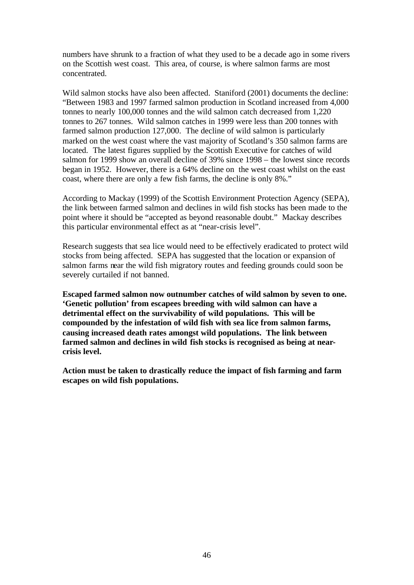numbers have shrunk to a fraction of what they used to be a decade ago in some rivers on the Scottish west coast. This area, of course, is where salmon farms are most concentrated.

Wild salmon stocks have also been affected. Staniford (2001) documents the decline: "Between 1983 and 1997 farmed salmon production in Scotland increased from 4,000 tonnes to nearly 100,000 tonnes and the wild salmon catch decreased from 1,220 tonnes to 267 tonnes. Wild salmon catches in 1999 were less than 200 tonnes with farmed salmon production 127,000. The decline of wild salmon is particularly marked on the west coast where the vast majority of Scotland's 350 salmon farms are located. The latest figures supplied by the Scottish Executive for catches of wild salmon for 1999 show an overall decline of 39% since 1998 – the lowest since records began in 1952. However, there is a 64% decline on the west coast whilst on the east coast, where there are only a few fish farms, the decline is only 8%."

According to Mackay (1999) of the Scottish Environment Protection Agency (SEPA), the link between farmed salmon and declines in wild fish stocks has been made to the point where it should be "accepted as beyond reasonable doubt." Mackay describes this particular environmental effect as at "near-crisis level".

Research suggests that sea lice would need to be effectively eradicated to protect wild stocks from being affected. SEPA has suggested that the location or expansion of salmon farms near the wild fish migratory routes and feeding grounds could soon be severely curtailed if not banned.

**Escaped farmed salmon now outnumber catches of wild salmon by seven to one. 'Genetic pollution' from escapees breeding with wild salmon can have a detrimental effect on the survivability of wild populations. This will be compounded by the infestation of wild fish with sea lice from salmon farms, causing increased death rates amongst wild populations. The link between farmed salmon and declines in wild fish stocks is recognised as being at nearcrisis level.**

**Action must be taken to drastically reduce the impact of fish farming and farm escapes on wild fish populations.**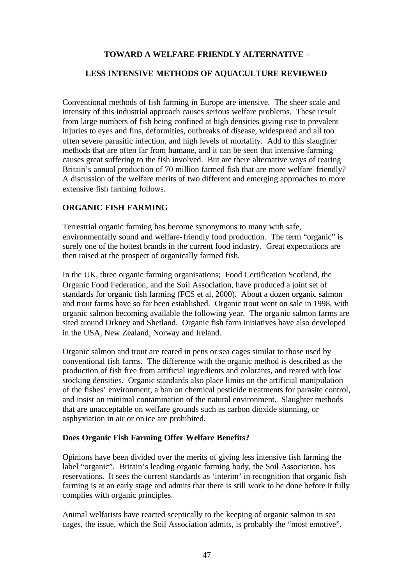### **TOWARD A WELFARE-FRIENDLY ALTERNATIVE -**

#### **LESS INTENSIVE METHODS OF AQUACULTURE REVIEWED**

Conventional methods of fish farming in Europe are intensive. The sheer scale and intensity of this industrial approach causes serious welfare problems. These result from large numbers of fish being confined at high densities giving rise to prevalent injuries to eyes and fins, deformities, outbreaks of disease, widespread and all too often severe parasitic infection, and high levels of mortality. Add to this slaughter methods that are often far from humane, and it can be seen that intensive farming causes great suffering to the fish involved. But are there alternative ways of rearing Britain's annual production of 70 million farmed fish that are more welfare-friendly? A discussion of the welfare merits of two different and emerging approaches to more extensive fish farming follows.

#### **ORGANIC FISH FARMING**

Terrestrial organic farming has become synonymous to many with safe, environmentally sound and welfare-friendly food production. The term "organic" is surely one of the hottest brands in the current food industry. Great expectations are then raised at the prospect of organically farmed fish.

In the UK, three organic farming organisations; Food Certification Scotland, the Organic Food Federation, and the Soil Association, have produced a joint set of standards for organic fish farming (FCS et al, 2000). About a dozen organic salmon and trout farms have so far been established. Organic trout went on sale in 1998, with organic salmon becoming available the following year. The organic salmon farms are sited around Orkney and Shetland. Organic fish farm initiatives have also developed in the USA, New Zealand, Norway and Ireland.

Organic salmon and trout are reared in pens or sea cages similar to those used by conventional fish farms. The difference with the organic method is described as the production of fish free from artificial ingredients and colorants, and reared with low stocking densities. Organic standards also place limits on the artificial manipulation of the fishes' environment, a ban on chemical pesticide treatments for parasite control, and insist on minimal contamination of the natural environment. Slaughter methods that are unacceptable on welfare grounds such as carbon dioxide stunning, or asphyxiation in air or on ice are prohibited.

#### **Does Organic Fish Farming Offer Welfare Benefits?**

Opinions have been divided over the merits of giving less intensive fish farming the label "organic". Britain's leading organic farming body, the Soil Association, has reservations. It sees the current standards as 'interim' in recognition that organic fish farming is at an early stage and admits that there is still work to be done before it fully complies with organic principles.

Animal welfarists have reacted sceptically to the keeping of organic salmon in sea cages, the issue, which the Soil Association admits, is probably the "most emotive".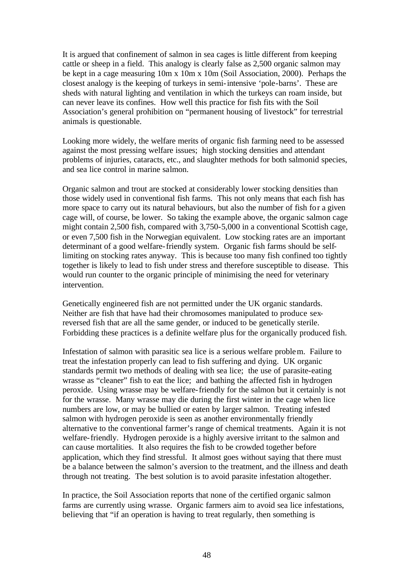It is argued that confinement of salmon in sea cages is little different from keeping cattle or sheep in a field. This analogy is clearly false as 2,500 organic salmon may be kept in a cage measuring 10m x 10m x 10m (Soil Association, 2000). Perhaps the closest analogy is the keeping of turkeys in semi-intensive 'pole-barns'. These are sheds with natural lighting and ventilation in which the turkeys can roam inside, but can never leave its confines. How well this practice for fish fits with the Soil Association's general prohibition on "permanent housing of livestock" for terrestrial animals is questionable.

Looking more widely, the welfare merits of organic fish farming need to be assessed against the most pressing welfare issues; high stocking densities and attendant problems of injuries, cataracts, etc., and slaughter methods for both salmonid species, and sea lice control in marine salmon.

Organic salmon and trout are stocked at considerably lower stocking densities than those widely used in conventional fish farms. This not only means that each fish has more space to carry out its natural behaviours, but also the number of fish for a given cage will, of course, be lower. So taking the example above, the organic salmon cage might contain 2,500 fish, compared with 3,750-5,000 in a conventional Scottish cage, or even 7,500 fish in the Norwegian equivalent. Low stocking rates are an important determinant of a good welfare-friendly system. Organic fish farms should be selflimiting on stocking rates anyway. This is because too many fish confined too tightly together is likely to lead to fish under stress and therefore susceptible to disease. This would run counter to the organic principle of minimising the need for veterinary intervention.

Genetically engineered fish are not permitted under the UK organic standards. Neither are fish that have had their chromosomes manipulated to produce sexreversed fish that are all the same gender, or induced to be genetically sterile. Forbidding these practices is a definite welfare plus for the organically produced fish.

Infestation of salmon with parasitic sea lice is a serious welfare problem. Failure to treat the infestation properly can lead to fish suffering and dying. UK organic standards permit two methods of dealing with sea lice; the use of parasite-eating wrasse as "cleaner" fish to eat the lice; and bathing the affected fish in hydrogen peroxide. Using wrasse may be welfare-friendly for the salmon but it certainly is not for the wrasse. Many wrasse may die during the first winter in the cage when lice numbers are low, or may be bullied or eaten by larger salmon. Treating infested salmon with hydrogen peroxide is seen as another environmentally friendly alternative to the conventional farmer's range of chemical treatments. Again it is not welfare-friendly. Hydrogen peroxide is a highly aversive irritant to the salmon and can cause mortalities. It also requires the fish to be crowded together before application, which they find stressful. It almost goes without saying that there must be a balance between the salmon's aversion to the treatment, and the illness and death through not treating. The best solution is to avoid parasite infestation altogether.

In practice, the Soil Association reports that none of the certified organic salmon farms are currently using wrasse. Organic farmers aim to avoid sea lice infestations, believing that "if an operation is having to treat regularly, then something is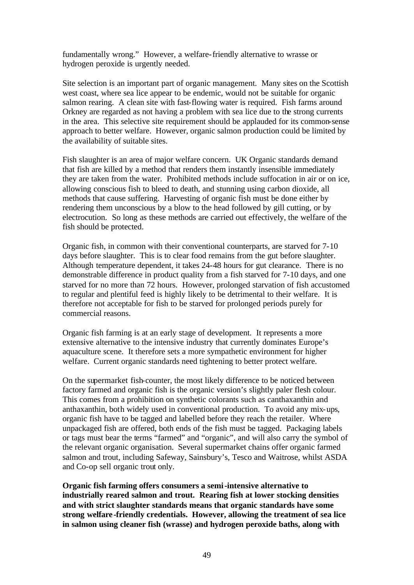fundamentally wrong." However, a welfare-friendly alternative to wrasse or hydrogen peroxide is urgently needed.

Site selection is an important part of organic management. Many sites on the Scottish west coast, where sea lice appear to be endemic, would not be suitable for organic salmon rearing. A clean site with fast-flowing water is required. Fish farms around Orkney are regarded as not having a problem with sea lice due to the strong currents in the area. This selective site requirement should be applauded for its common-sense approach to better welfare. However, organic salmon production could be limited by the availability of suitable sites.

Fish slaughter is an area of major welfare concern. UK Organic standards demand that fish are killed by a method that renders them instantly insensible immediately they are taken from the water. Prohibited methods include suffocation in air or on ice, allowing conscious fish to bleed to death, and stunning using carbon dioxide, all methods that cause suffering. Harvesting of organic fish must be done either by rendering them unconscious by a blow to the head followed by gill cutting, or by electrocution. So long as these methods are carried out effectively, the welfare of the fish should be protected.

Organic fish, in common with their conventional counterparts, are starved for 7-10 days before slaughter. This is to clear food remains from the gut before slaughter. Although temperature dependent, it takes 24-48 hours for gut clearance. There is no demonstrable difference in product quality from a fish starved for 7-10 days, and one starved for no more than 72 hours. However, prolonged starvation of fish accustomed to regular and plentiful feed is highly likely to be detrimental to their welfare. It is therefore not acceptable for fish to be starved for prolonged periods purely for commercial reasons.

Organic fish farming is at an early stage of development. It represents a more extensive alternative to the intensive industry that currently dominates Europe's aquaculture scene. It therefore sets a more sympathetic environment for higher welfare. Current organic standards need tightening to better protect welfare.

On the supermarket fish-counter, the most likely difference to be noticed between factory farmed and organic fish is the organic version's slightly paler flesh colour. This comes from a prohibition on synthetic colorants such as canthaxanthin and anthaxanthin, both widely used in conventional production. To avoid any mix-ups, organic fish have to be tagged and labelled before they reach the retailer. Where unpackaged fish are offered, both ends of the fish must be tagged. Packaging labels or tags must bear the terms "farmed" and "organic", and will also carry the symbol of the relevant organic organisation. Several supermarket chains offer organic farmed salmon and trout, including Safeway, Sainsbury's, Tesco and Waitrose, whilst ASDA and Co-op sell organic trout only.

**Organic fish farming offers consumers a semi-intensive alternative to industrially reared salmon and trout. Rearing fish at lower stocking densities and with strict slaughter standards means that organic standards have some strong welfare-friendly credentials. However, allowing the treatment of sea lice in salmon using cleaner fish (wrasse) and hydrogen peroxide baths, along with**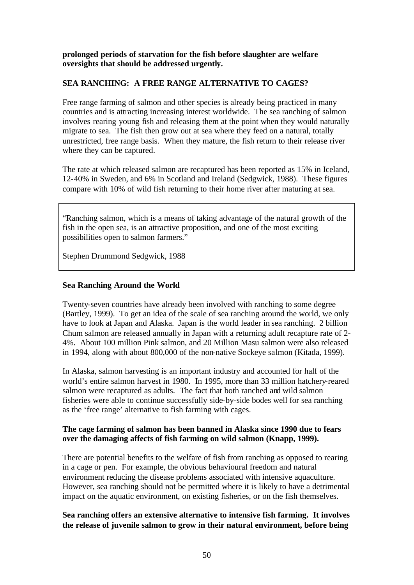**prolonged periods of starvation for the fish before slaughter are welfare oversights that should be addressed urgently.** 

# **SEA RANCHING: A FREE RANGE ALTERNATIVE TO CAGES?**

Free range farming of salmon and other species is already being practiced in many countries and is attracting increasing interest worldwide. The sea ranching of salmon involves rearing young fish and releasing them at the point when they would naturally migrate to sea. The fish then grow out at sea where they feed on a natural, totally unrestricted, free range basis. When they mature, the fish return to their release river where they can be captured.

The rate at which released salmon are recaptured has been reported as 15% in Iceland, 12-40% in Sweden, and 6% in Scotland and Ireland (Sedgwick, 1988). These figures compare with 10% of wild fish returning to their home river after maturing at sea.

"Ranching salmon, which is a means of taking advantage of the natural growth of the fish in the open sea, is an attractive proposition, and one of the most exciting possibilities open to salmon farmers."

Stephen Drummond Sedgwick, 1988

#### **Sea Ranching Around the World**

Twenty-seven countries have already been involved with ranching to some degree (Bartley, 1999). To get an idea of the scale of sea ranching around the world, we only have to look at Japan and Alaska.Japan is the world leader in sea ranching. 2 billion Chum salmon are released annually in Japan with a returning adult recapture rate of 2- 4%. About 100 million Pink salmon, and 20 Million Masu salmon were also released in 1994, along with about 800,000 of the non-native Sockeye salmon (Kitada, 1999).

In Alaska, salmon harvesting is an important industry and accounted for half of the world's entire salmon harvest in 1980. In 1995, more than 33 million hatchery-reared salmon were recaptured as adults. The fact that both ranched and wild salmon fisheries were able to continue successfully side-by-side bodes well for sea ranching as the 'free range' alternative to fish farming with cages.

# **The cage farming of salmon has been banned in Alaska since 1990 due to fears over the damaging affects of fish farming on wild salmon (Knapp, 1999).**

There are potential benefits to the welfare of fish from ranching as opposed to rearing in a cage or pen. For example, the obvious behavioural freedom and natural environment reducing the disease problems associated with intensive aquaculture. However, sea ranching should not be permitted where it is likely to have a detrimental impact on the aquatic environment, on existing fisheries, or on the fish themselves.

# **Sea ranching offers an extensive alternative to intensive fish farming. It involves the release of juvenile salmon to grow in their natural environment, before being**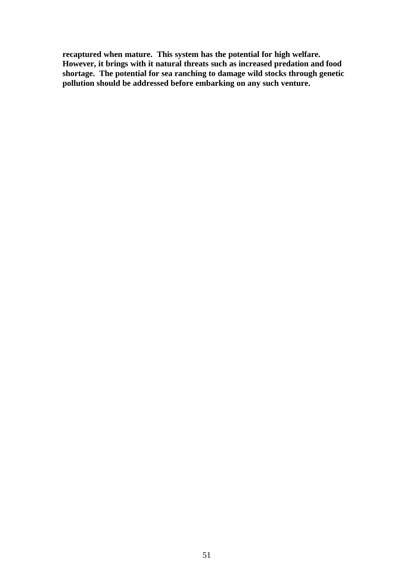**recaptured when mature. This system has the potential for high welfare. However, it brings with it natural threats such as increased predation and food shortage. The potential for sea ranching to damage wild stocks through genetic pollution should be addressed before embarking on any such venture.**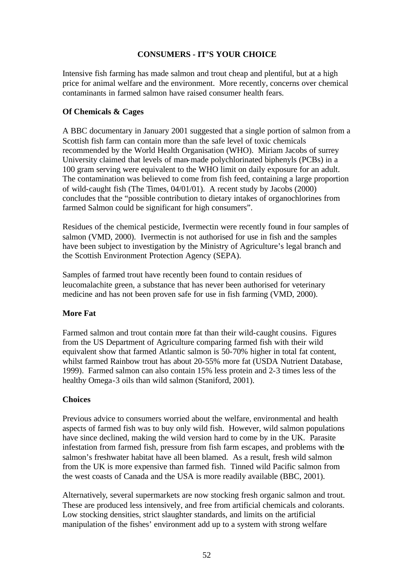# **CONSUMERS - IT'S YOUR CHOICE**

Intensive fish farming has made salmon and trout cheap and plentiful, but at a high price for animal welfare and the environment. More recently, concerns over chemical contaminants in farmed salmon have raised consumer health fears.

# **Of Chemicals & Cages**

A BBC documentary in January 2001 suggested that a single portion of salmon from a Scottish fish farm can contain more than the safe level of toxic chemicals recommended by the World Health Organisation (WHO). Miriam Jacobs of surrey University claimed that levels of man-made polychlorinated biphenyls (PCBs) in a 100 gram serving were equivalent to the WHO limit on daily exposure for an adult. The contamination was believed to come from fish feed, containing a large proportion of wild-caught fish (The Times, 04/01/01). A recent study by Jacobs (2000) concludes that the "possible contribution to dietary intakes of organochlorines from farmed Salmon could be significant for high consumers".

Residues of the chemical pesticide, Ivermectin were recently found in four samples of salmon (VMD, 2000). Ivermectin is not authorised for use in fish and the samples have been subject to investigation by the Ministry of Agriculture's legal branch and the Scottish Environment Protection Agency (SEPA).

Samples of farmed trout have recently been found to contain residues of leucomalachite green, a substance that has never been authorised for veterinary medicine and has not been proven safe for use in fish farming (VMD, 2000).

# **More Fat**

Farmed salmon and trout contain more fat than their wild-caught cousins. Figures from the US Department of Agriculture comparing farmed fish with their wild equivalent show that farmed Atlantic salmon is 50-70% higher in total fat content, whilst farmed Rainbow trout has about 20-55% more fat (USDA Nutrient Database, 1999). Farmed salmon can also contain 15% less protein and 2-3 times less of the healthy Omega-3 oils than wild salmon (Staniford, 2001).

#### **Choices**

Previous advice to consumers worried about the welfare, environmental and health aspects of farmed fish was to buy only wild fish. However, wild salmon populations have since declined, making the wild version hard to come by in the UK. Parasite infestation from farmed fish, pressure from fish farm escapes, and problems with the salmon's freshwater habitat have all been blamed. As a result, fresh wild salmon from the UK is more expensive than farmed fish. Tinned wild Pacific salmon from the west coasts of Canada and the USA is more readily available (BBC, 2001).

Alternatively, several supermarkets are now stocking fresh organic salmon and trout. These are produced less intensively, and free from artificial chemicals and colorants. Low stocking densities, strict slaughter standards, and limits on the artificial manipulation of the fishes' environment add up to a system with strong welfare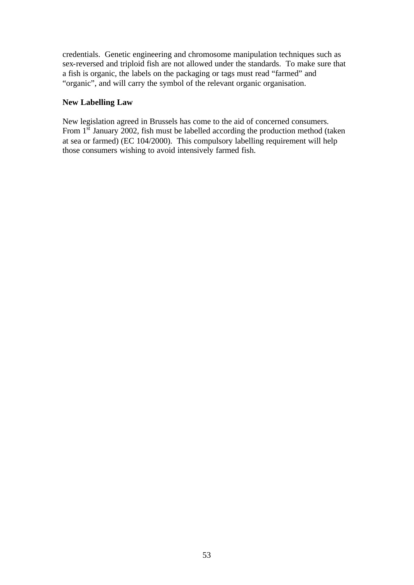credentials. Genetic engineering and chromosome manipulation techniques such as sex-reversed and triploid fish are not allowed under the standards. To make sure that a fish is organic, the labels on the packaging or tags must read "farmed" and "organic", and will carry the symbol of the relevant organic organisation.

### **New Labelling Law**

New legislation agreed in Brussels has come to the aid of concerned consumers. From  $1<sup>st</sup>$  January 2002, fish must be labelled according the production method (taken at sea or farmed) (EC 104/2000). This compulsory labelling requirement will help those consumers wishing to avoid intensively farmed fish.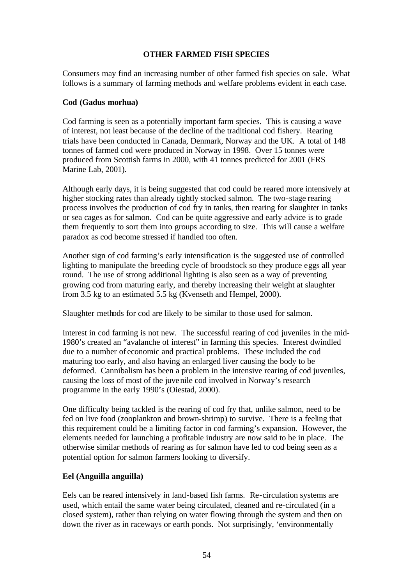# **OTHER FARMED FISH SPECIES**

Consumers may find an increasing number of other farmed fish species on sale. What follows is a summary of farming methods and welfare problems evident in each case.

### **Cod (Gadus morhua)**

Cod farming is seen as a potentially important farm species. This is causing a wave of interest, not least because of the decline of the traditional cod fishery. Rearing trials have been conducted in Canada, Denmark, Norway and the UK. A total of 148 tonnes of farmed cod were produced in Norway in 1998. Over 15 tonnes were produced from Scottish farms in 2000, with 41 tonnes predicted for 2001 (FRS Marine Lab, 2001).

Although early days, it is being suggested that cod could be reared more intensively at higher stocking rates than already tightly stocked salmon. The two-stage rearing process involves the production of cod fry in tanks, then rearing for slaughter in tanks or sea cages as for salmon. Cod can be quite aggressive and early advice is to grade them frequently to sort them into groups according to size. This will cause a welfare paradox as cod become stressed if handled too often.

Another sign of cod farming's early intensification is the suggested use of controlled lighting to manipulate the breeding cycle of broodstock so they produce eggs all year round. The use of strong additional lighting is also seen as a way of preventing growing cod from maturing early, and thereby increasing their weight at slaughter from 3.5 kg to an estimated 5.5 kg (Kvenseth and Hempel, 2000).

Slaughter methods for cod are likely to be similar to those used for salmon.

Interest in cod farming is not new. The successful rearing of cod juveniles in the mid-1980's created an "avalanche of interest" in farming this species. Interest dwindled due to a number of economic and practical problems. These included the cod maturing too early, and also having an enlarged liver causing the body to be deformed. Cannibalism has been a problem in the intensive rearing of cod juveniles, causing the loss of most of the juvenile cod involved in Norway's research programme in the early 1990's (Oiestad, 2000).

One difficulty being tackled is the rearing of cod fry that, unlike salmon, need to be fed on live food (zooplankton and brown-shrimp) to survive. There is a feeling that this requirement could be a limiting factor in cod farming's expansion. However, the elements needed for launching a profitable industry are now said to be in place. The otherwise similar methods of rearing as for salmon have led to cod being seen as a potential option for salmon farmers looking to diversify.

# **Eel (Anguilla anguilla)**

Eels can be reared intensively in land-based fish farms. Re-circulation systems are used, which entail the same water being circulated, cleaned and re-circulated (in a closed system), rather than relying on water flowing through the system and then on down the river as in raceways or earth ponds. Not surprisingly, 'environmentally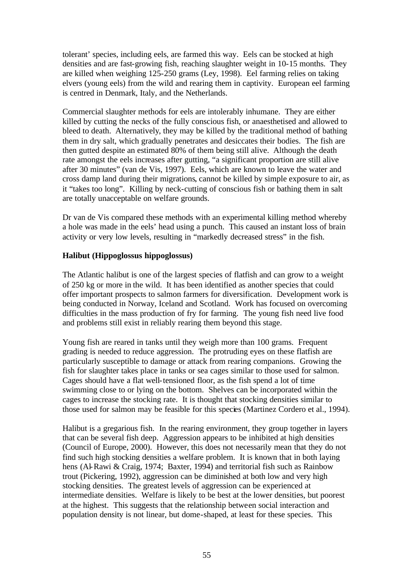tolerant' species, including eels, are farmed this way. Eels can be stocked at high densities and are fast-growing fish, reaching slaughter weight in 10-15 months. They are killed when weighing 125-250 grams (Ley, 1998). Eel farming relies on taking elvers (young eels) from the wild and rearing them in captivity. European eel farming is centred in Denmark, Italy, and the Netherlands.

Commercial slaughter methods for eels are intolerably inhumane. They are either killed by cutting the necks of the fully conscious fish, or anaesthetised and allowed to bleed to death. Alternatively, they may be killed by the traditional method of bathing them in dry salt, which gradually penetrates and desiccates their bodies. The fish are then gutted despite an estimated 80% of them being still alive. Although the death rate amongst the eels increases after gutting, "a significant proportion are still alive after 30 minutes" (van de Vis, 1997). Eels, which are known to leave the water and cross damp land during their migrations*,* cannot be killed by simple exposure to air, as it "takes too long". Killing by neck-cutting of conscious fish or bathing them in salt are totally unacceptable on welfare grounds.

Dr van de Vis compared these methods with an experimental killing method whereby a hole was made in the eels' head using a punch. This caused an instant loss of brain activity or very low levels, resulting in "markedly decreased stress" in the fish.

# **Halibut (Hippoglossus hippoglossus)**

The Atlantic halibut is one of the largest species of flatfish and can grow to a weight of 250 kg or more in the wild. It has been identified as another species that could offer important prospects to salmon farmers for diversification. Development work is being conducted in Norway, Iceland and Scotland. Work has focused on overcoming difficulties in the mass production of fry for farming. The young fish need live food and problems still exist in reliably rearing them beyond this stage.

Young fish are reared in tanks until they weigh more than 100 grams. Frequent grading is needed to reduce aggression. The protruding eyes on these flatfish are particularly susceptible to damage or attack from rearing companions. Growing the fish for slaughter takes place in tanks or sea cages similar to those used for salmon. Cages should have a flat well-tensioned floor, as the fish spend a lot of time swimming close to or lying on the bottom. Shelves can be incorporated within the cages to increase the stocking rate. It is thought that stocking densities similar to those used for salmon may be feasible for this species (Martinez Cordero et al., 1994).

Halibut is a gregarious fish. In the rearing environment, they group together in layers that can be several fish deep. Aggression appears to be inhibited at high densities (Council of Europe, 2000). However, this does not necessarily mean that they do not find such high stocking densities a welfare problem. It is known that in both laying hens (Al-Rawi & Craig, 1974; Baxter, 1994) and territorial fish such as Rainbow trout (Pickering, 1992), aggression can be diminished at both low and very high stocking densities. The greatest levels of aggression can be experienced at intermediate densities. Welfare is likely to be best at the lower densities, but poorest at the highest. This suggests that the relationship between social interaction and population density is not linear, but dome-shaped, at least for these species. This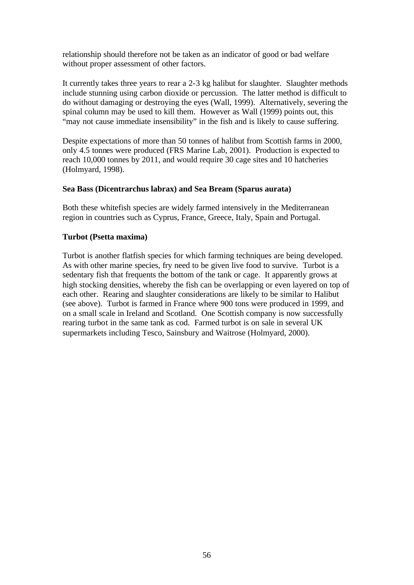relationship should therefore not be taken as an indicator of good or bad welfare without proper assessment of other factors.

It currently takes three years to rear a 2-3 kg halibut for slaughter. Slaughter methods include stunning using carbon dioxide or percussion. The latter method is difficult to do without damaging or destroying the eyes (Wall, 1999). Alternatively, severing the spinal column may be used to kill them. However as Wall (1999) points out, this "may not cause immediate insensibility" in the fish and is likely to cause suffering.

Despite expectations of more than 50 tonnes of halibut from Scottish farms in 2000, only 4.5 tonnes were produced (FRS Marine Lab, 2001). Production is expected to reach 10,000 tonnes by 2011, and would require 30 cage sites and 10 hatcheries (Holmyard, 1998).

# **Sea Bass (Dicentrarchus labrax) and Sea Bream (Sparus aurata)**

Both these whitefish species are widely farmed intensively in the Mediterranean region in countries such as Cyprus, France, Greece, Italy, Spain and Portugal.

# **Turbot (Psetta maxima)**

Turbot is another flatfish species for which farming techniques are being developed. As with other marine species, fry need to be given live food to survive. Turbot is a sedentary fish that frequents the bottom of the tank or cage. It apparently grows at high stocking densities, whereby the fish can be overlapping or even layered on top of each other. Rearing and slaughter considerations are likely to be similar to Halibut (see above). Turbot is farmed in France where 900 tons were produced in 1999, and on a small scale in Ireland and Scotland. One Scottish company is now successfully rearing turbot in the same tank as cod. Farmed turbot is on sale in several UK supermarkets including Tesco, Sainsbury and Waitrose (Holmyard, 2000).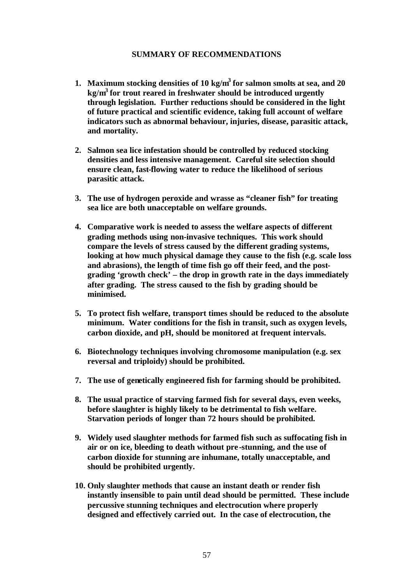#### **SUMMARY OF RECOMMENDATIONS**

- **1. Maximum stocking densities of 10 kg/m<sup>3</sup>for salmon smolts at sea, and 20 kg/m<sup>3</sup>for trout reared in freshwater should be introduced urgently through legislation. Further reductions should be considered in the light of future practical and scientific evidence, taking full account of welfare indicators such as abnormal behaviour, injuries, disease, parasitic attack, and mortality.**
- **2. Salmon sea lice infestation should be controlled by reduced stocking densities and less intensive management. Careful site selection should ensure clean, fast-flowing water to reduce the likelihood of serious parasitic attack.**
- **3. The use of hydrogen peroxide and wrasse as "cleaner fish" for treating sea lice are both unacceptable on welfare grounds.**
- **4. Comparative work is needed to assess the welfare aspects of different grading methods using non-invasive techniques. This work should compare the levels of stress caused by the different grading systems, looking at how much physical damage they cause to the fish (e.g. scale loss and abrasions), the length of time fish go off their feed, and the postgrading 'growth check' – the drop in growth rate in the days immediately after grading. The stress caused to the fish by grading should be minimised.**
- **5. To protect fish welfare, transport times should be reduced to the absolute minimum. Water conditions for the fish in transit, such as oxygen levels, carbon dioxide, and pH, should be monitored at frequent intervals.**
- **6. Biotechnology techniques involving chromosome manipulation (e.g. sex reversal and triploidy) should be prohibited.**
- **7. The use of genetically engineered fish for farming should be prohibited.**
- **8. The usual practice of starving farmed fish for several days, even weeks, before slaughter is highly likely to be detrimental to fish welfare. Starvation periods of longer than 72 hours should be prohibited.**
- **9. Widely used slaughter methods for farmed fish such as suffocating fish in air or on ice, bleeding to death without pre -stunning, and the use of carbon dioxide for stunning are inhumane, totally unacceptable, and should be prohibited urgently.**
- **10. Only slaughter methods that cause an instant death or render fish instantly insensible to pain until dead should be permitted. These include percussive stunning techniques and electrocution where properly designed and effectively carried out. In the case of electrocution, the**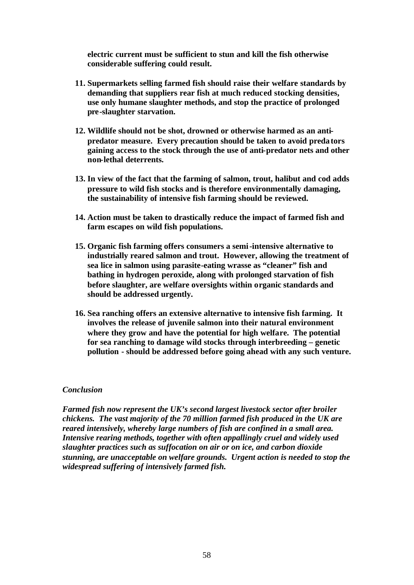**electric current must be sufficient to stun and kill the fish otherwise considerable suffering could result.** 

- **11. Supermarkets selling farmed fish should raise their welfare standards by demanding that suppliers rear fish at much reduced stocking densities, use only humane slaughter methods, and stop the practice of prolonged pre-slaughter starvation.**
- **12. Wildlife should not be shot, drowned or otherwise harmed as an antipredator measure. Every precaution should be taken to avoid predators gaining access to the stock through the use of anti-predator nets and other non-lethal deterrents.**
- **13. In view of the fact that the farming of salmon, trout, halibut and cod adds pressure to wild fish stocks and is therefore environmentally damaging, the sustainability of intensive fish farming should be reviewed.**
- **14. Action must be taken to drastically reduce the impact of farmed fish and farm escapes on wild fish populations.**
- **15. Organic fish farming offers consumers a semi-intensive alternative to industrially reared salmon and trout. However, allowing the treatment of sea lice in salmon using parasite-eating wrasse as "cleaner" fish and bathing in hydrogen peroxide, along with prolonged starvation of fish before slaughter, are welfare oversights within organic standards and should be addressed urgently.**
- **16. Sea ranching offers an extensive alternative to intensive fish farming. It involves the release of juvenile salmon into their natural environment where they grow and have the potential for high welfare. The potential for sea ranching to damage wild stocks through interbreeding – genetic pollution - should be addressed before going ahead with any such venture.**

#### *Conclusion*

*Farmed fish now represent the UK's second largest livestock sector after broiler chickens. The vast majority of the 70 million farmed fish produced in the UK are reared intensively, whereby large numbers of fish are confined in a small area. Intensive rearing methods, together with often appallingly cruel and widely used slaughter practices such as suffocation on air or on ice, and carbon dioxide stunning, are unacceptable on welfare grounds. Urgent action is needed to stop the widespread suffering of intensively farmed fish.*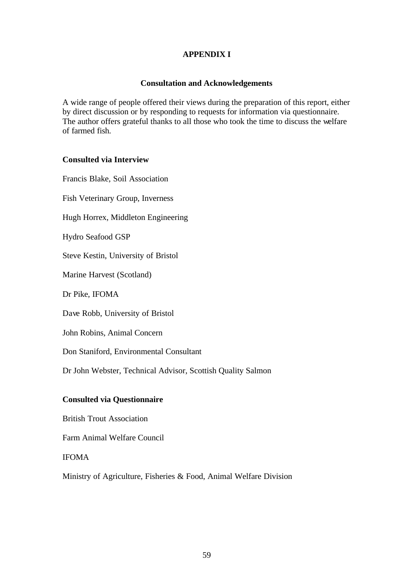# **APPENDIX I**

# **Consultation and Acknowledgements**

A wide range of people offered their views during the preparation of this report, either by direct discussion or by responding to requests for information via questionnaire. The author offers grateful thanks to all those who took the time to discuss the welfare of farmed fish.

# **Consulted via Interview**

Francis Blake, Soil Association Fish Veterinary Group, Inverness Hugh Horrex, Middleton Engineering Hydro Seafood GSP Steve Kestin, University of Bristol Marine Harvest (Scotland) Dr Pike, IFOMA Dave Robb, University of Bristol John Robins, Animal Concern Don Staniford, Environmental Consultant Dr John Webster, Technical Advisor, Scottish Quality Salmon **Consulted via Questionnaire**

British Trout Association

Farm Animal Welfare Council

# IFOMA

Ministry of Agriculture, Fisheries & Food, Animal Welfare Division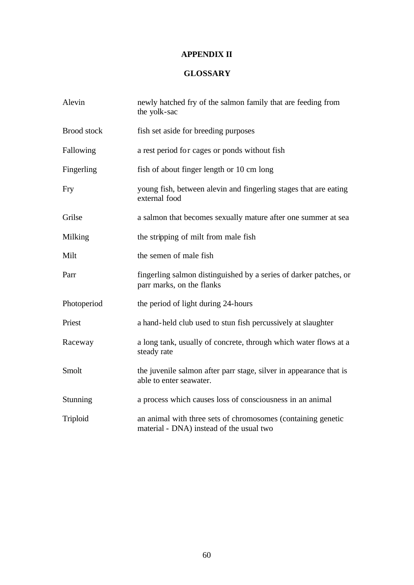# **APPENDIX II**

# **GLOSSARY**

| Alevin             | newly hatched fry of the salmon family that are feeding from<br>the yolk-sac                             |
|--------------------|----------------------------------------------------------------------------------------------------------|
| <b>Brood</b> stock | fish set aside for breeding purposes                                                                     |
| Fallowing          | a rest period for cages or ponds without fish                                                            |
| Fingerling         | fish of about finger length or 10 cm long                                                                |
| Fry                | young fish, between alevin and fingerling stages that are eating<br>external food                        |
| Grilse             | a salmon that becomes sexually mature after one summer at sea                                            |
| Milking            | the stripping of milt from male fish                                                                     |
| Milt               | the semen of male fish                                                                                   |
| Parr               | fingerling salmon distinguished by a series of darker patches, or<br>parr marks, on the flanks           |
| Photoperiod        | the period of light during 24-hours                                                                      |
| Priest             | a hand-held club used to stun fish percussively at slaughter                                             |
| Raceway            | a long tank, usually of concrete, through which water flows at a<br>steady rate                          |
| Smolt              | the juvenile salmon after parr stage, silver in appearance that is<br>able to enter seawater.            |
| Stunning           | a process which causes loss of consciousness in an animal                                                |
| Triploid           | an animal with three sets of chromosomes (containing genetic<br>material - DNA) instead of the usual two |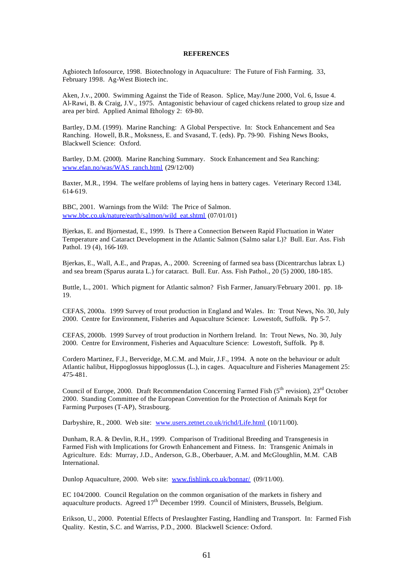#### **REFERENCES**

Agbiotech Infosource, 1998. Biotechnology in Aquaculture: The Future of Fish Farming. 33, February 1998. Ag-West Biotech inc.

Aken, J.v., 2000. Swimming Against the Tide of Reason. Splice, May/June 2000, Vol. 6, Issue 4. Al-Rawi, B. & Craig, J.V., 1975. Antagonistic behaviour of caged chickens related to group size and area per bird. Applied Animal Ethology 2: 69-80.

Bartley, D.M. (1999). Marine Ranching: A Global Perspective. In: Stock Enhancement and Sea Ranching. Howell, B.R., Moksness, E. and Svasand, T. (eds). Pp. 79-90. Fishing News Books, Blackwell Science: Oxford.

Bartley, D.M. (2000). Marine Ranching Summary. Stock Enhancement and Sea Ranching: www.efan.no/was/WAS\_ranch.html (29/12/00)

Baxter, M.R., 1994. The welfare problems of laying hens in battery cages. Veterinary Record 134L 614-619.

BBC, 2001. Warnings from the Wild: The Price of Salmon. www.bbc.co.uk/nature/earth/salmon/wild\_eat.shtml (07/01/01)

Bjerkas, E. and Bjornestad, E., 1999. Is There a Connection Between Rapid Fluctuation in Water Temperature and Cataract Development in the Atlantic Salmon (Salmo salar L)? Bull. Eur. Ass. Fish Pathol. 19 (4), 166-169.

Bjerkas, E., Wall, A.E., and Prapas, A., 2000. Screening of farmed sea bass (Dicentrarchus labrax L) and sea bream (Sparus aurata L.) for cataract. Bull. Eur. Ass. Fish Pathol., 20 (5) 2000, 180-185.

Buttle, L., 2001. Which pigment for Atlantic salmon? Fish Farmer, January/February 2001. pp. 18- 19.

CEFAS, 2000a. 1999 Survey of trout production in England and Wales. In: Trout News, No. 30, July 2000. Centre for Environment, Fisheries and Aquaculture Science: Lowestoft, Suffolk. Pp 5-7.

CEFAS, 2000b. 1999 Survey of trout production in Northern Ireland. In: Trout News, No. 30, July 2000. Centre for Environment, Fisheries and Aquaculture Science: Lowestoft, Suffolk. Pp 8.

Cordero Martinez, F.J., Berveridge, M.C.M. and Muir, J.F., 1994. A note on the behaviour or adult Atlantic halibut, Hippoglossus hippoglossus (L.), in cages. Aquaculture and Fisheries Management 25: 475-481.

Council of Europe, 2000. Draft Recommendation Concerning Farmed Fish  $(5^{th}$  revision),  $23^{rd}$  October 2000. Standing Committee of the European Convention for the Protection of Animals Kept for Farming Purposes (T-AP), Strasbourg.

Darbyshire, R., 2000. Web site: www.users.zetnet.co.uk/richd/Life.html (10/11/00).

Dunham, R.A. & Devlin, R.H., 1999. Comparison of Traditional Breeding and Transgenesis in Farmed Fish with Implications for Growth Enhancement and Fitness. In: Transgenic Animals in Agriculture. Eds: Murray, J.D., Anderson, G.B., Oberbauer, A.M. and McGloughlin, M.M. CAB International.

Dunlop Aquaculture, 2000. Web site: www.fishlink.co.uk/bonnar/ (09/11/00).

EC 104/2000. Council Regulation on the common organisation of the markets in fishery and aquaculture products. Agreed  $17<sup>th</sup>$  December 1999. Council of Ministers, Brussels, Belgium.

Erikson, U., 2000. Potential Effects of Preslaughter Fasting, Handling and Transport. In: Farmed Fish Quality. Kestin, S.C. and Warriss, P.D., 2000. Blackwell Science: Oxford.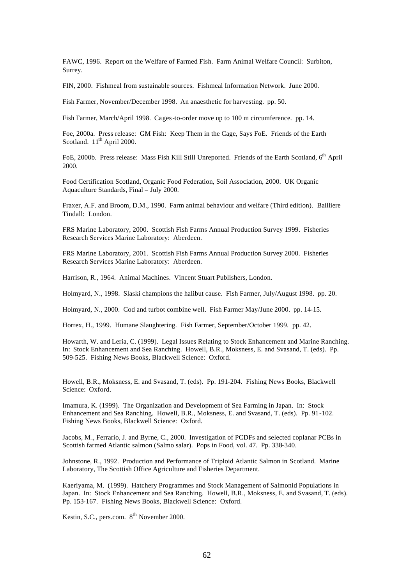FAWC, 1996. Report on the Welfare of Farmed Fish. Farm Animal Welfare Council: Surbiton, Surrey.

FIN, 2000. Fishmeal from sustainable sources. Fishmeal Information Network. June 2000.

Fish Farmer, November/December 1998. An anaesthetic for harvesting. pp. 50.

Fish Farmer, March/April 1998. Cages-to-order move up to 100 m circumference. pp. 14.

Foe, 2000a. Press release: GM Fish: Keep Them in the Cage, Says FoE. Friends of the Earth Scotland.  $11<sup>th</sup>$  April 2000.

FoE, 2000b. Press release: Mass Fish Kill Still Unreported. Friends of the Earth Scotland, 6<sup>th</sup> April 2000.

Food Certification Scotland, Organic Food Federation, Soil Association, 2000. UK Organic Aquaculture Standards, Final – July 2000.

Fraxer, A.F. and Broom, D.M., 1990. Farm animal behaviour and welfare (Third edition). Bailliere Tindall: London.

FRS Marine Laboratory, 2000. Scottish Fish Farms Annual Production Survey 1999. Fisheries Research Services Marine Laboratory: Aberdeen.

FRS Marine Laboratory, 2001. Scottish Fish Farms Annual Production Survey 2000. Fisheries Research Services Marine Laboratory: Aberdeen.

Harrison, R., 1964. Animal Machines. Vincent Stuart Publishers, London.

Holmyard, N., 1998. Slaski champions the halibut cause. Fish Farmer, July/August 1998. pp. 20.

Holmyard, N., 2000. Cod and turbot combine well. Fish Farmer May/June 2000. pp. 14-15.

Horrex, H., 1999. Humane Slaughtering. Fish Farmer, September/October 1999. pp. 42.

Howarth, W. and Leria, C. (1999). Legal Issues Relating to Stock Enhancement and Marine Ranching. In: Stock Enhancement and Sea Ranching. Howell, B.R., Moksness, E. and Svasand, T. (eds). Pp. 509-525. Fishing News Books, Blackwell Science: Oxford.

Howell, B.R., Moksness, E. and Svasand, T. (eds). Pp. 191-204. Fishing News Books, Blackwell Science: Oxford.

Imamura, K. (1999). The Organization and Development of Sea Farming in Japan. In: Stock Enhancement and Sea Ranching. Howell, B.R., Moksness, E. and Svasand, T. (eds). Pp. 91-102. Fishing News Books, Blackwell Science: Oxford.

Jacobs, M., Ferrario, J. and Byrne, C., 2000. Investigation of PCDFs and selected coplanar PCBs in Scottish farmed Atlantic salmon (Salmo salar). Pops in Food, vol. 47. Pp. 338-340.

Johnstone, R., 1992. Production and Performance of Triploid Atlantic Salmon in Scotland. Marine Laboratory, The Scottish Office Agriculture and Fisheries Department.

Kaeriyama, M. (1999). Hatchery Programmes and Stock Management of Salmonid Populations in Japan. In: Stock Enhancement and Sea Ranching. Howell, B.R., Moksness, E. and Svasand, T. (eds). Pp. 153-167. Fishing News Books, Blackwell Science: Oxford.

Kestin, S.C., pers.com. 8<sup>th</sup> November 2000.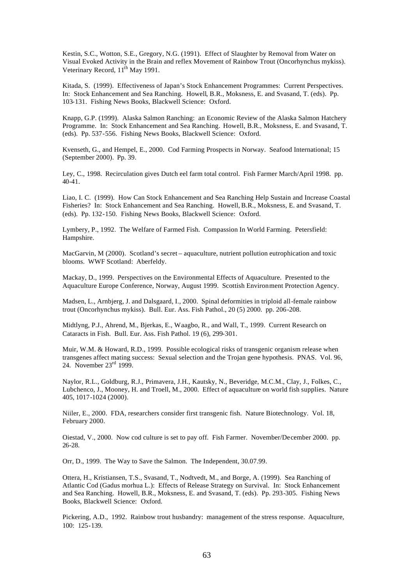Kestin, S.C., Wotton, S.E., Gregory, N.G. (1991). Effect of Slaughter by Removal from Water on Visual Evoked Activity in the Brain and reflex Movement of Rainbow Trout (Oncorhynchus mykiss). Veterinary Record,  $11^{th}$  May 1991.

Kitada, S. (1999). Effectiveness of Japan's Stock Enhancement Programmes: Current Perspectives. In: Stock Enhancement and Sea Ranching. Howell, B.R., Moksness, E. and Svasand, T. (eds). Pp. 103-131. Fishing News Books, Blackwell Science: Oxford.

Knapp, G.P. (1999). Alaska Salmon Ranching: an Economic Review of the Alaska Salmon Hatchery Programme. In: Stock Enhancement and Sea Ranching. Howell, B.R., Moksness, E. and Svasand, T. (eds). Pp. 537-556. Fishing News Books, Blackwell Science: Oxford.

Kvenseth, G., and Hempel, E., 2000. Cod Farming Prospects in Norway. Seafood International; 15 (September 2000). Pp. 39.

Ley, C., 1998. Recirculation gives Dutch eel farm total control. Fish Farmer March/April 1998. pp. 40-41.

Liao, I. C. (1999). How Can Stock Enhancement and Sea Ranching Help Sustain and Increase Coastal Fisheries? In: Stock Enhancement and Sea Ranching. Howell, B.R., Moksness, E. and Svasand, T. (eds). Pp. 132-150. Fishing News Books, Blackwell Science: Oxford.

Lymbery, P., 1992. The Welfare of Farmed Fish. Compassion In World Farming. Petersfield: Hampshire.

MacGarvin, M (2000). Scotland's secret – aquaculture, nutrient pollution eutrophication and toxic blooms. WWF Scotland: Aberfeldy.

Mackay, D., 1999. Perspectives on the Environmental Effects of Aquaculture. Presented to the Aquaculture Europe Conference, Norway, August 1999. Scottish Environment Protection Agency.

Madsen, L., Arnbjerg, J. and Dalsgaard, I., 2000. Spinal deformities in triploid all-female rainbow trout (Oncorhynchus mykiss). Bull. Eur. Ass. Fish Pathol., 20 (5) 2000. pp. 206-208.

Midtlyng, P.J., Ahrend, M., Bjerkas, E., Waagbo, R., and Wall, T., 1999. Current Research on Cataracts in Fish. Bull. Eur. Ass. Fish Pathol. 19 (6), 299-301.

Muir, W.M. & Howard, R.D., 1999. Possible ecological risks of transgenic organism release when transgenes affect mating success: Sexual selection and the Trojan gene hypothesis. PNAS. Vol. 96, 24. November 23rd 1999.

Naylor, R.L., Goldburg, R.J., Primavera, J.H., Kautsky, N., Beveridge, M.C.M., Clay, J., Folkes, C., Lubchenco, J., Mooney, H. and Troell, M., 2000. Effect of aquaculture on world fish supplies. Nature 405, 1017-1024 (2000).

Niiler, E., 2000. FDA, researchers consider first transgenic fish. Nature Biotechnology. Vol. 18, February 2000.

Oiestad, V., 2000. Now cod culture is set to pay off. Fish Farmer. November/December 2000. pp. 26-28.

Orr, D., 1999. The Way to Save the Salmon. The Independent, 30.07.99.

Ottera, H., Kristiansen, T.S., Svasand, T., Nodtvedt, M., and Borge, A. (1999). Sea Ranching of Atlantic Cod (Gadus morhua L.): Effects of Release Strategy on Survival. In: Stock Enhancement and Sea Ranching. Howell, B.R., Moksness, E. and Svasand, T. (eds). Pp. 293-305. Fishing News Books, Blackwell Science: Oxford.

Pickering, A.D., 1992. Rainbow trout husbandry: management of the stress response. Aquaculture, 100: 125-139.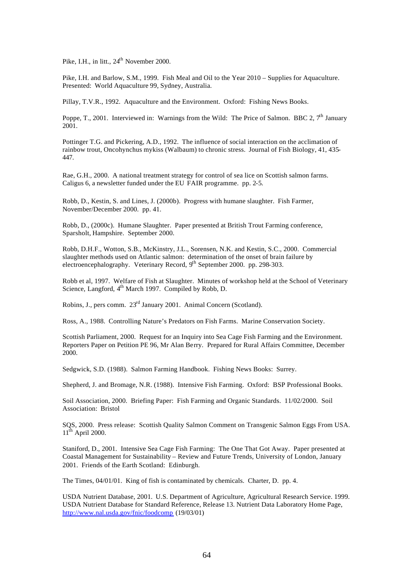Pike, I.H., in litt., 24<sup>th</sup> November 2000.

Pike, I.H. and Barlow, S.M., 1999. Fish Meal and Oil to the Year 2010 – Supplies for Aquaculture. Presented: World Aquaculture 99, Sydney, Australia.

Pillay, T.V.R., 1992. Aquaculture and the Environment. Oxford: Fishing News Books.

Poppe, T., 2001. Interviewed in: Warnings from the Wild: The Price of Salmon. BBC 2, 7<sup>th</sup> January 2001.

Pottinger T.G. and Pickering, A.D., 1992. The influence of social interaction on the acclimation of rainbow trout, Oncohynchus mykiss (Walbaum) to chronic stress. Journal of Fish Biology, 41, 435- 447.

Rae, G.H., 2000. A national treatment strategy for control of sea lice on Scottish salmon farms. Caligus 6, a newsletter funded under the EU FAIR programme. pp. 2-5.

Robb, D., Kestin, S. and Lines, J. (2000b). Progress with humane slaughter. Fish Farmer, November/December 2000. pp. 41.

Robb, D., (2000c). Humane Slaughter. Paper presented at British Trout Farming conference, Sparsholt, Hampshire. September 2000.

Robb, D.H.F., Wotton, S.B., McKinstry, J.L., Sorensen, N.K. and Kestin, S.C., 2000. Commercial slaughter methods used on Atlantic salmon: determination of the onset of brain failure by electroencephalography. Veterinary Record, 9<sup>th</sup> September 2000. pp. 298-303.

Robb et al, 1997. Welfare of Fish at Slaughter. Minutes of workshop held at the School of Veterinary Science, Langford, 4<sup>th</sup> March 1997. Compiled by Robb, D.

Robins, J., pers comm. 23rd January 2001. Animal Concern (Scotland).

Ross, A., 1988. Controlling Nature's Predators on Fish Farms. Marine Conservation Society.

Scottish Parliament, 2000. Request for an Inquiry into Sea Cage Fish Farming and the Environment. Reporters Paper on Petition PE 96, Mr Alan Berry. Prepared for Rural Affairs Committee, December 2000.

Sedgwick, S.D. (1988). Salmon Farming Handbook. Fishing News Books: Surrey.

Shepherd, J. and Bromage, N.R. (1988). Intensive Fish Farming. Oxford: BSP Professional Books.

Soil Association, 2000. Briefing Paper: Fish Farming and Organic Standards. 11/02/2000. Soil Association: Bristol

SQS, 2000. Press release: Scottish Quality Salmon Comment on Transgenic Salmon Eggs From USA.  $11<sup>th</sup>$  April 2000.

Staniford, D., 2001. Intensive Sea Cage Fish Farming: The One That Got Away. Paper presented at Coastal Management for Sustainability – Review and Future Trends, University of London, January 2001. Friends of the Earth Scotland: Edinburgh.

The Times, 04/01/01. King of fish is contaminated by chemicals. Charter, D. pp. 4.

USDA Nutrient Database, 2001. U.S. Department of Agriculture, Agricultural Research Service. 1999. USDA Nutrient Database for Standard Reference, Release 13. Nutrient Data Laboratory Home Page, http://www.nal.usda.gov/fnic/foodcomp (19/03/01)